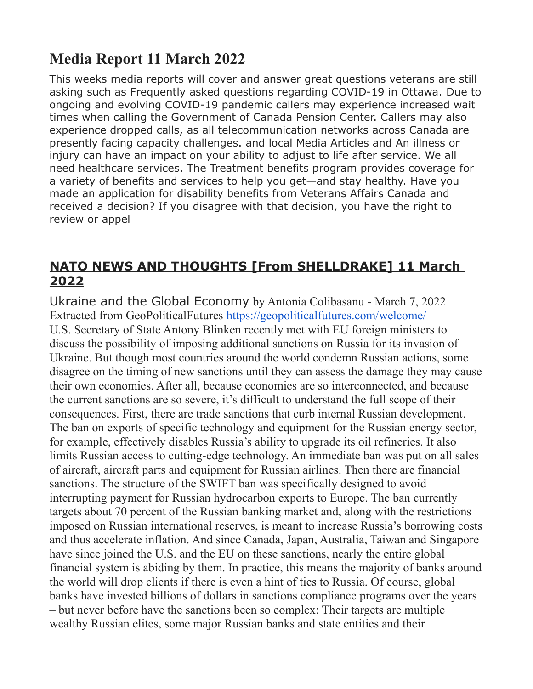# **Media Report 11 March 2022**

This weeks media reports will cover and answer great questions veterans are still asking such as Frequently asked questions regarding COVID-19 in Ottawa. Due to ongoing and evolving COVID-19 pandemic callers may experience increased wait times when calling the Government of Canada Pension Center. Callers may also experience dropped calls, as all telecommunication networks across Canada are presently facing capacity challenges. and local Media Articles and An illness or injury can have an impact on your ability to adjust to life after service. We all need healthcare services. The Treatment benefits program provides coverage for a variety of benefits and services to help you get—and stay healthy. Have you made an application for disability benefits from Veterans Affairs Canada and received a decision? If you disagree with that decision, you have the right to review or appel

## **NATO NEWS AND THOUGHTS [From SHELLDRAKE] 11 March 2022**

Ukraine and the Global Economy by Antonia Colibasanu - March 7, 2022 Extracted from GeoPoliticalFutures <https://geopoliticalfutures.com/welcome/> U.S. Secretary of State Antony Blinken recently met with EU foreign ministers to discuss the possibility of imposing additional sanctions on Russia for its invasion of Ukraine. But though most countries around the world condemn Russian actions, some disagree on the timing of new sanctions until they can assess the damage they may cause their own economies. After all, because economies are so interconnected, and because the current sanctions are so severe, it's difficult to understand the full scope of their consequences. First, there are trade sanctions that curb internal Russian development. The ban on exports of specific technology and equipment for the Russian energy sector, for example, effectively disables Russia's ability to upgrade its oil refineries. It also limits Russian access to cutting-edge technology. An immediate ban was put on all sales of aircraft, aircraft parts and equipment for Russian airlines. Then there are financial sanctions. The structure of the SWIFT ban was specifically designed to avoid interrupting payment for Russian hydrocarbon exports to Europe. The ban currently targets about 70 percent of the Russian banking market and, along with the restrictions imposed on Russian international reserves, is meant to increase Russia's borrowing costs and thus accelerate inflation. And since Canada, Japan, Australia, Taiwan and Singapore have since joined the U.S. and the EU on these sanctions, nearly the entire global financial system is abiding by them. In practice, this means the majority of banks around the world will drop clients if there is even a hint of ties to Russia. Of course, global banks have invested billions of dollars in sanctions compliance programs over the years – but never before have the sanctions been so complex: Their targets are multiple wealthy Russian elites, some major Russian banks and state entities and their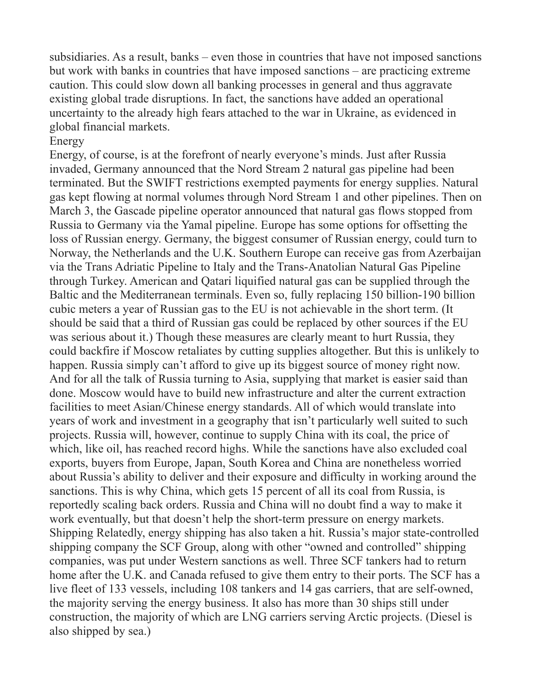subsidiaries. As a result, banks – even those in countries that have not imposed sanctions but work with banks in countries that have imposed sanctions – are practicing extreme caution. This could slow down all banking processes in general and thus aggravate existing global trade disruptions. In fact, the sanctions have added an operational uncertainty to the already high fears attached to the war in Ukraine, as evidenced in global financial markets.

#### Energy

Energy, of course, is at the forefront of nearly everyone's minds. Just after Russia invaded, Germany announced that the Nord Stream 2 natural gas pipeline had been terminated. But the SWIFT restrictions exempted payments for energy supplies. Natural gas kept flowing at normal volumes through Nord Stream 1 and other pipelines. Then on March 3, the Gascade pipeline operator announced that natural gas flows stopped from Russia to Germany via the Yamal pipeline. Europe has some options for offsetting the loss of Russian energy. Germany, the biggest consumer of Russian energy, could turn to Norway, the Netherlands and the U.K. Southern Europe can receive gas from Azerbaijan via the Trans Adriatic Pipeline to Italy and the Trans-Anatolian Natural Gas Pipeline through Turkey. American and Qatari liquified natural gas can be supplied through the Baltic and the Mediterranean terminals. Even so, fully replacing 150 billion-190 billion cubic meters a year of Russian gas to the EU is not achievable in the short term. (It should be said that a third of Russian gas could be replaced by other sources if the EU was serious about it.) Though these measures are clearly meant to hurt Russia, they could backfire if Moscow retaliates by cutting supplies altogether. But this is unlikely to happen. Russia simply can't afford to give up its biggest source of money right now. And for all the talk of Russia turning to Asia, supplying that market is easier said than done. Moscow would have to build new infrastructure and alter the current extraction facilities to meet Asian/Chinese energy standards. All of which would translate into years of work and investment in a geography that isn't particularly well suited to such projects. Russia will, however, continue to supply China with its coal, the price of which, like oil, has reached record highs. While the sanctions have also excluded coal exports, buyers from Europe, Japan, South Korea and China are nonetheless worried about Russia's ability to deliver and their exposure and difficulty in working around the sanctions. This is why China, which gets 15 percent of all its coal from Russia, is reportedly scaling back orders. Russia and China will no doubt find a way to make it work eventually, but that doesn't help the short-term pressure on energy markets. Shipping Relatedly, energy shipping has also taken a hit. Russia's major state-controlled shipping company the SCF Group, along with other "owned and controlled" shipping companies, was put under Western sanctions as well. Three SCF tankers had to return home after the U.K. and Canada refused to give them entry to their ports. The SCF has a live fleet of 133 vessels, including 108 tankers and 14 gas carriers, that are self-owned, the majority serving the energy business. It also has more than 30 ships still under construction, the majority of which are LNG carriers serving Arctic projects. (Diesel is also shipped by sea.)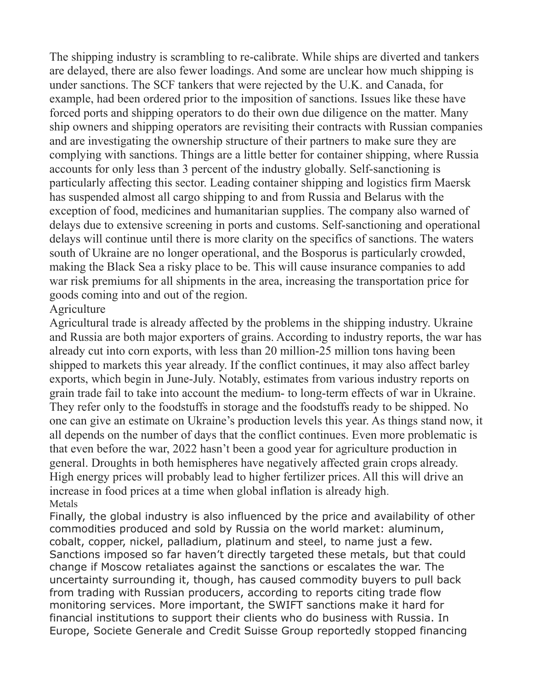The shipping industry is scrambling to re-calibrate. While ships are diverted and tankers are delayed, there are also fewer loadings. And some are unclear how much shipping is under sanctions. The SCF tankers that were rejected by the U.K. and Canada, for example, had been ordered prior to the imposition of sanctions. Issues like these have forced ports and shipping operators to do their own due diligence on the matter. Many ship owners and shipping operators are revisiting their contracts with Russian companies and are investigating the ownership structure of their partners to make sure they are complying with sanctions. Things are a little better for container shipping, where Russia accounts for only less than 3 percent of the industry globally. Self-sanctioning is particularly affecting this sector. Leading container shipping and logistics firm Maersk has suspended almost all cargo shipping to and from Russia and Belarus with the exception of food, medicines and humanitarian supplies. The company also warned of delays due to extensive screening in ports and customs. Self-sanctioning and operational delays will continue until there is more clarity on the specifics of sanctions. The waters south of Ukraine are no longer operational, and the Bosporus is particularly crowded, making the Black Sea a risky place to be. This will cause insurance companies to add war risk premiums for all shipments in the area, increasing the transportation price for goods coming into and out of the region.

#### Agriculture

Agricultural trade is already affected by the problems in the shipping industry. Ukraine and Russia are both major exporters of grains. According to industry reports, the war has already cut into corn exports, with less than 20 million-25 million tons having been shipped to markets this year already. If the conflict continues, it may also affect barley exports, which begin in June-July. Notably, estimates from various industry reports on grain trade fail to take into account the medium- to long-term effects of war in Ukraine. They refer only to the foodstuffs in storage and the foodstuffs ready to be shipped. No one can give an estimate on Ukraine's production levels this year. As things stand now, it all depends on the number of days that the conflict continues. Even more problematic is that even before the war, 2022 hasn't been a good year for agriculture production in general. Droughts in both hemispheres have negatively affected grain crops already. High energy prices will probably lead to higher fertilizer prices. All this will drive an increase in food prices at a time when global inflation is already high. Metals

Finally, the global industry is also influenced by the price and availability of other commodities produced and sold by Russia on the world market: aluminum, cobalt, copper, nickel, palladium, platinum and steel, to name just a few. Sanctions imposed so far haven't directly targeted these metals, but that could change if Moscow retaliates against the sanctions or escalates the war. The uncertainty surrounding it, though, has caused commodity buyers to pull back from trading with Russian producers, according to reports citing trade flow monitoring services. More important, the SWIFT sanctions make it hard for financial institutions to support their clients who do business with Russia. In Europe, Societe Generale and Credit Suisse Group reportedly stopped financing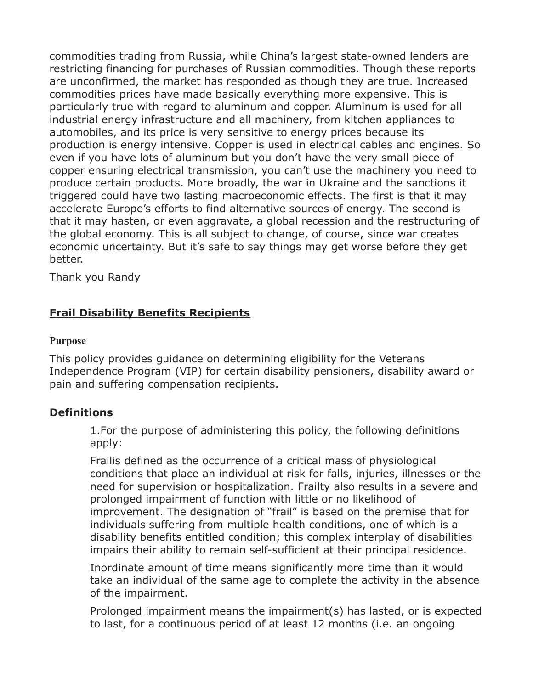commodities trading from Russia, while China's largest state-owned lenders are restricting financing for purchases of Russian commodities. Though these reports are unconfirmed, the market has responded as though they are true. Increased commodities prices have made basically everything more expensive. This is particularly true with regard to aluminum and copper. Aluminum is used for all industrial energy infrastructure and all machinery, from kitchen appliances to automobiles, and its price is very sensitive to energy prices because its production is energy intensive. Copper is used in electrical cables and engines. So even if you have lots of aluminum but you don't have the very small piece of copper ensuring electrical transmission, you can't use the machinery you need to produce certain products. More broadly, the war in Ukraine and the sanctions it triggered could have two lasting macroeconomic effects. The first is that it may accelerate Europe's efforts to find alternative sources of energy. The second is that it may hasten, or even aggravate, a global recession and the restructuring of the global economy. This is all subject to change, of course, since war creates economic uncertainty. But it's safe to say things may get worse before they get better.

Thank you Randy

## **Frail Disability Benefits Recipients**

#### **Purpose**

This policy provides guidance on determining eligibility for the Veterans Independence Program (VIP) for certain disability pensioners, disability award or pain and suffering compensation recipients.

## **Definitions**

1.For the purpose of administering this policy, the following definitions apply:

Frailis defined as the occurrence of a critical mass of physiological conditions that place an individual at risk for falls, injuries, illnesses or the need for supervision or hospitalization. Frailty also results in a severe and prolonged impairment of function with little or no likelihood of improvement. The designation of "frail" is based on the premise that for individuals suffering from multiple health conditions, one of which is a disability benefits entitled condition; this complex interplay of disabilities impairs their ability to remain self-sufficient at their principal residence.

Inordinate amount of time means significantly more time than it would take an individual of the same age to complete the activity in the absence of the impairment.

Prolonged impairment means the impairment(s) has lasted, or is expected to last, for a continuous period of at least 12 months (i.e. an ongoing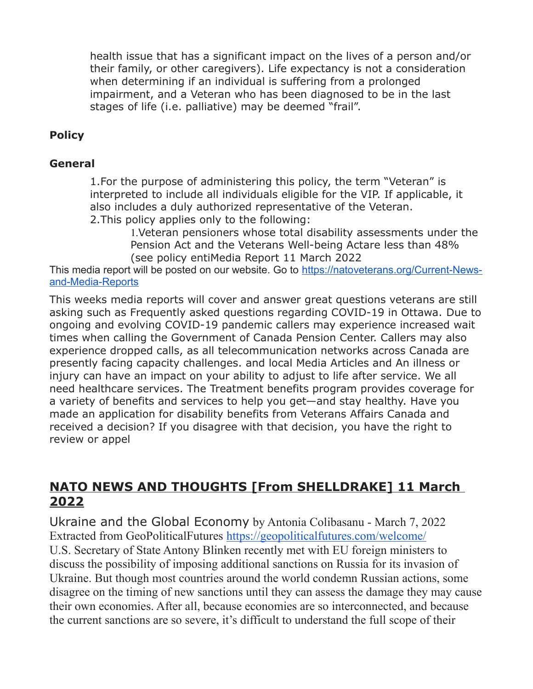health issue that has a significant impact on the lives of a person and/or their family, or other caregivers). Life expectancy is not a consideration when determining if an individual is suffering from a prolonged impairment, and a Veteran who has been diagnosed to be in the last stages of life (i.e. palliative) may be deemed "frail".

## **Policy**

#### **General**

1.For the purpose of administering this policy, the term "Veteran" is interpreted to include all individuals eligible for the VIP. If applicable, it also includes a duly authorized representative of the Veteran. 2.This policy applies only to the following:

1.Veteran pensioners whose total disability assessments under the

Pension Act and the Veterans Well-being Actare less than 48% (see policy entiMedia Report 11 March 2022

This media report will be posted on our website. Go to [https://natoveterans.org/Current-News](https://natoveterans.org/Current-News-and-Media-Reports)[and-Media-Reports](https://natoveterans.org/Current-News-and-Media-Reports)

This weeks media reports will cover and answer great questions veterans are still asking such as Frequently asked questions regarding COVID-19 in Ottawa. Due to ongoing and evolving COVID-19 pandemic callers may experience increased wait times when calling the Government of Canada Pension Center. Callers may also experience dropped calls, as all telecommunication networks across Canada are presently facing capacity challenges. and local Media Articles and An illness or injury can have an impact on your ability to adjust to life after service. We all need healthcare services. The Treatment benefits program provides coverage for a variety of benefits and services to help you get—and stay healthy. Have you made an application for disability benefits from Veterans Affairs Canada and received a decision? If you disagree with that decision, you have the right to review or appel

## **NATO NEWS AND THOUGHTS [From SHELLDRAKE] 11 March 2022**

Ukraine and the Global Economy by Antonia Colibasanu - March 7, 2022 Extracted from GeoPoliticalFutures <https://geopoliticalfutures.com/welcome/> U.S. Secretary of State Antony Blinken recently met with EU foreign ministers to discuss the possibility of imposing additional sanctions on Russia for its invasion of Ukraine. But though most countries around the world condemn Russian actions, some disagree on the timing of new sanctions until they can assess the damage they may cause their own economies. After all, because economies are so interconnected, and because the current sanctions are so severe, it's difficult to understand the full scope of their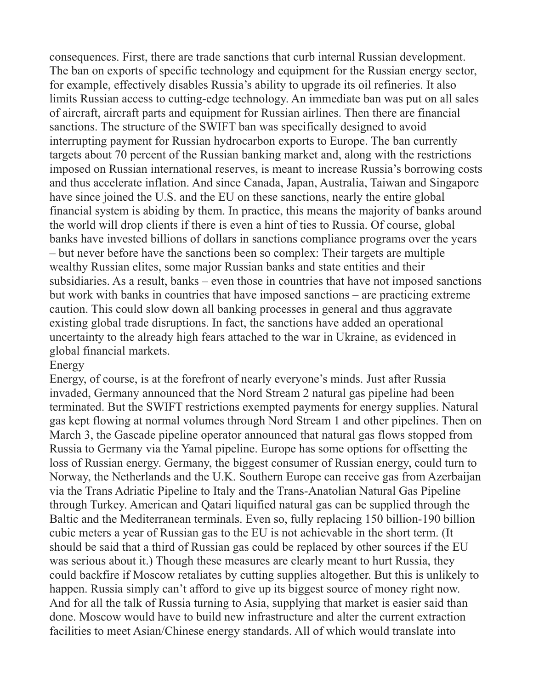consequences. First, there are trade sanctions that curb internal Russian development. The ban on exports of specific technology and equipment for the Russian energy sector, for example, effectively disables Russia's ability to upgrade its oil refineries. It also limits Russian access to cutting-edge technology. An immediate ban was put on all sales of aircraft, aircraft parts and equipment for Russian airlines. Then there are financial sanctions. The structure of the SWIFT ban was specifically designed to avoid interrupting payment for Russian hydrocarbon exports to Europe. The ban currently targets about 70 percent of the Russian banking market and, along with the restrictions imposed on Russian international reserves, is meant to increase Russia's borrowing costs and thus accelerate inflation. And since Canada, Japan, Australia, Taiwan and Singapore have since joined the U.S. and the EU on these sanctions, nearly the entire global financial system is abiding by them. In practice, this means the majority of banks around the world will drop clients if there is even a hint of ties to Russia. Of course, global banks have invested billions of dollars in sanctions compliance programs over the years – but never before have the sanctions been so complex: Their targets are multiple wealthy Russian elites, some major Russian banks and state entities and their subsidiaries. As a result, banks – even those in countries that have not imposed sanctions but work with banks in countries that have imposed sanctions – are practicing extreme caution. This could slow down all banking processes in general and thus aggravate existing global trade disruptions. In fact, the sanctions have added an operational uncertainty to the already high fears attached to the war in Ukraine, as evidenced in global financial markets.

#### Energy

Energy, of course, is at the forefront of nearly everyone's minds. Just after Russia invaded, Germany announced that the Nord Stream 2 natural gas pipeline had been terminated. But the SWIFT restrictions exempted payments for energy supplies. Natural gas kept flowing at normal volumes through Nord Stream 1 and other pipelines. Then on March 3, the Gascade pipeline operator announced that natural gas flows stopped from Russia to Germany via the Yamal pipeline. Europe has some options for offsetting the loss of Russian energy. Germany, the biggest consumer of Russian energy, could turn to Norway, the Netherlands and the U.K. Southern Europe can receive gas from Azerbaijan via the Trans Adriatic Pipeline to Italy and the Trans-Anatolian Natural Gas Pipeline through Turkey. American and Qatari liquified natural gas can be supplied through the Baltic and the Mediterranean terminals. Even so, fully replacing 150 billion-190 billion cubic meters a year of Russian gas to the EU is not achievable in the short term. (It should be said that a third of Russian gas could be replaced by other sources if the EU was serious about it.) Though these measures are clearly meant to hurt Russia, they could backfire if Moscow retaliates by cutting supplies altogether. But this is unlikely to happen. Russia simply can't afford to give up its biggest source of money right now. And for all the talk of Russia turning to Asia, supplying that market is easier said than done. Moscow would have to build new infrastructure and alter the current extraction facilities to meet Asian/Chinese energy standards. All of which would translate into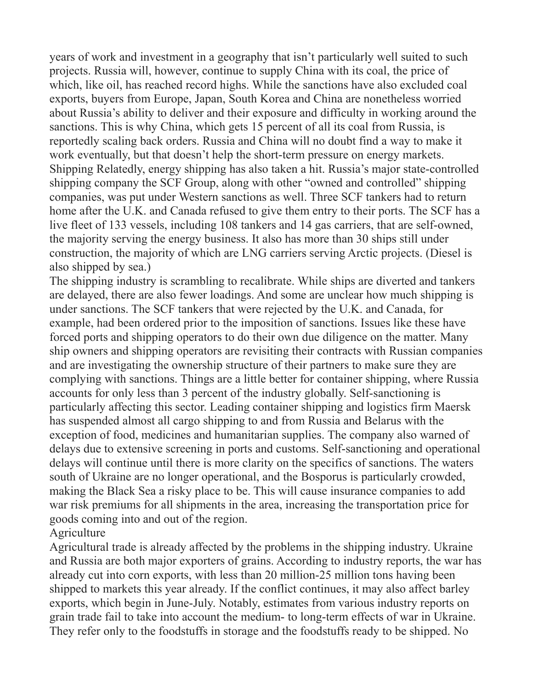years of work and investment in a geography that isn't particularly well suited to such projects. Russia will, however, continue to supply China with its coal, the price of which, like oil, has reached record highs. While the sanctions have also excluded coal exports, buyers from Europe, Japan, South Korea and China are nonetheless worried about Russia's ability to deliver and their exposure and difficulty in working around the sanctions. This is why China, which gets 15 percent of all its coal from Russia, is reportedly scaling back orders. Russia and China will no doubt find a way to make it work eventually, but that doesn't help the short-term pressure on energy markets. Shipping Relatedly, energy shipping has also taken a hit. Russia's major state-controlled shipping company the SCF Group, along with other "owned and controlled" shipping companies, was put under Western sanctions as well. Three SCF tankers had to return home after the U.K. and Canada refused to give them entry to their ports. The SCF has a live fleet of 133 vessels, including 108 tankers and 14 gas carriers, that are self-owned, the majority serving the energy business. It also has more than 30 ships still under construction, the majority of which are LNG carriers serving Arctic projects. (Diesel is also shipped by sea.)

The shipping industry is scrambling to recalibrate. While ships are diverted and tankers are delayed, there are also fewer loadings. And some are unclear how much shipping is under sanctions. The SCF tankers that were rejected by the U.K. and Canada, for example, had been ordered prior to the imposition of sanctions. Issues like these have forced ports and shipping operators to do their own due diligence on the matter. Many ship owners and shipping operators are revisiting their contracts with Russian companies and are investigating the ownership structure of their partners to make sure they are complying with sanctions. Things are a little better for container shipping, where Russia accounts for only less than 3 percent of the industry globally. Self-sanctioning is particularly affecting this sector. Leading container shipping and logistics firm Maersk has suspended almost all cargo shipping to and from Russia and Belarus with the exception of food, medicines and humanitarian supplies. The company also warned of delays due to extensive screening in ports and customs. Self-sanctioning and operational delays will continue until there is more clarity on the specifics of sanctions. The waters south of Ukraine are no longer operational, and the Bosporus is particularly crowded, making the Black Sea a risky place to be. This will cause insurance companies to add war risk premiums for all shipments in the area, increasing the transportation price for goods coming into and out of the region.

## Agriculture

Agricultural trade is already affected by the problems in the shipping industry. Ukraine and Russia are both major exporters of grains. According to industry reports, the war has already cut into corn exports, with less than 20 million-25 million tons having been shipped to markets this year already. If the conflict continues, it may also affect barley exports, which begin in June-July. Notably, estimates from various industry reports on grain trade fail to take into account the medium- to long-term effects of war in Ukraine. They refer only to the foodstuffs in storage and the foodstuffs ready to be shipped. No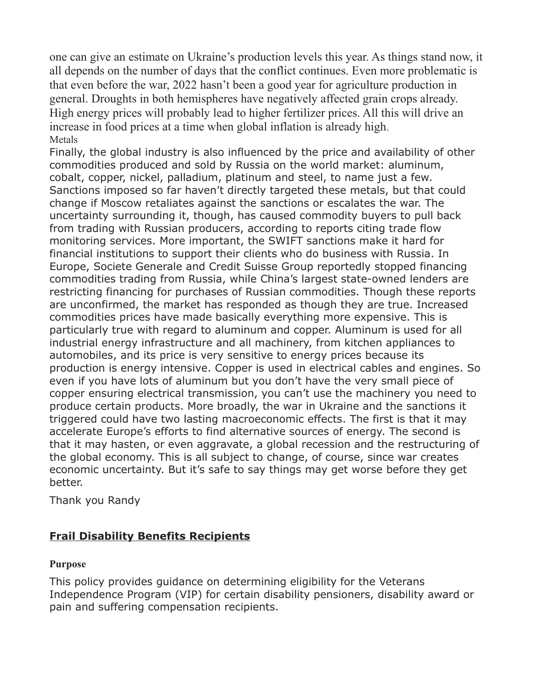one can give an estimate on Ukraine's production levels this year. As things stand now, it all depends on the number of days that the conflict continues. Even more problematic is that even before the war, 2022 hasn't been a good year for agriculture production in general. Droughts in both hemispheres have negatively affected grain crops already. High energy prices will probably lead to higher fertilizer prices. All this will drive an increase in food prices at a time when global inflation is already high. Metals

Finally, the global industry is also influenced by the price and availability of other commodities produced and sold by Russia on the world market: aluminum, cobalt, copper, nickel, palladium, platinum and steel, to name just a few. Sanctions imposed so far haven't directly targeted these metals, but that could change if Moscow retaliates against the sanctions or escalates the war. The uncertainty surrounding it, though, has caused commodity buyers to pull back from trading with Russian producers, according to reports citing trade flow monitoring services. More important, the SWIFT sanctions make it hard for financial institutions to support their clients who do business with Russia. In Europe, Societe Generale and Credit Suisse Group reportedly stopped financing commodities trading from Russia, while China's largest state-owned lenders are restricting financing for purchases of Russian commodities. Though these reports are unconfirmed, the market has responded as though they are true. Increased commodities prices have made basically everything more expensive. This is particularly true with regard to aluminum and copper. Aluminum is used for all industrial energy infrastructure and all machinery, from kitchen appliances to automobiles, and its price is very sensitive to energy prices because its production is energy intensive. Copper is used in electrical cables and engines. So even if you have lots of aluminum but you don't have the very small piece of copper ensuring electrical transmission, you can't use the machinery you need to produce certain products. More broadly, the war in Ukraine and the sanctions it triggered could have two lasting macroeconomic effects. The first is that it may accelerate Europe's efforts to find alternative sources of energy. The second is that it may hasten, or even aggravate, a global recession and the restructuring of the global economy. This is all subject to change, of course, since war creates economic uncertainty. But it's safe to say things may get worse before they get better.

Thank you Randy

## **Frail Disability Benefits Recipients**

#### **Purpose**

This policy provides guidance on determining eligibility for the Veterans Independence Program (VIP) for certain disability pensioners, disability award or pain and suffering compensation recipients.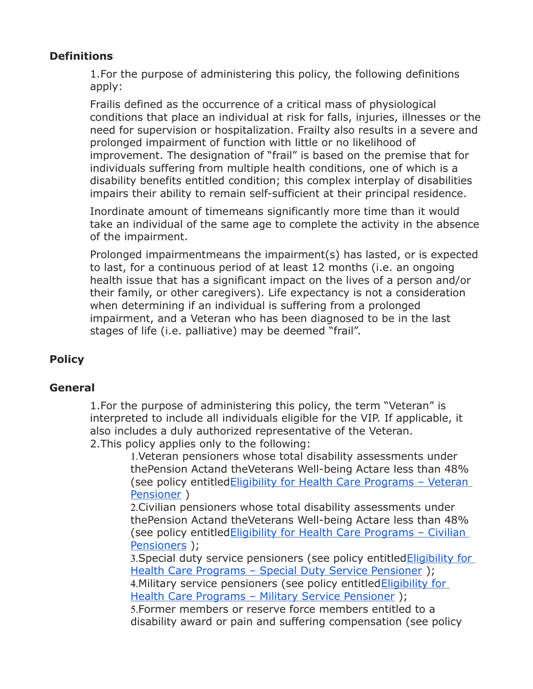## **Definitions**

1.For the purpose of administering this policy, the following definitions apply:

Frailis defined as the occurrence of a critical mass of physiological conditions that place an individual at risk for falls, injuries, illnesses or the need for supervision or hospitalization. Frailty also results in a severe and prolonged impairment of function with little or no likelihood of improvement. The designation of "frail" is based on the premise that for individuals suffering from multiple health conditions, one of which is a disability benefits entitled condition; this complex interplay of disabilities impairs their ability to remain self-sufficient at their principal residence.

Inordinate amount of timemeans significantly more time than it would take an individual of the same age to complete the activity in the absence of the impairment.

Prolonged impairmentmeans the impairment(s) has lasted, or is expected to last, for a continuous period of at least 12 months (i.e. an ongoing health issue that has a significant impact on the lives of a person and/or their family, or other caregivers). Life expectancy is not a consideration when determining if an individual is suffering from a prolonged impairment, and a Veteran who has been diagnosed to be in the last stages of life (i.e. palliative) may be deemed "frail".

## **Policy**

## **General**

1.For the purpose of administering this policy, the term "Veteran" is interpreted to include all individuals eligible for the VIP. If applicable, it also includes a duly authorized representative of the Veteran. 2.This policy applies only to the following:

1.Veteran pensioners whose total disability assessments under thePension Actand theVeterans Well-being Actare less than 48% (see policy entitle[dEligibility for Health Care Programs – Veteran](https://natoveterans.org/EmailTracker/LinkTracker.ashx?linkAndRecipientCode=Sroham0j6CXPMqc0EcYGc6m70ADegJVzJmFkxUw9Q84z3CCRhfEUwyQuB4WTNJR7FIa%2B%2Fq51d3XhXS7N46mrCy7%2BMwG%2BKfWouqtavqrm8c4%3D)  [Pensioner](https://natoveterans.org/EmailTracker/LinkTracker.ashx?linkAndRecipientCode=Sroham0j6CXPMqc0EcYGc6m70ADegJVzJmFkxUw9Q84z3CCRhfEUwyQuB4WTNJR7FIa%2B%2Fq51d3XhXS7N46mrCy7%2BMwG%2BKfWouqtavqrm8c4%3D) )

2.Civilian pensioners whose total disability assessments under thePension Actand theVeterans Well-being Actare less than 48% (see policy entitle[dEligibility for Health Care Programs – Civilian](https://natoveterans.org/EmailTracker/LinkTracker.ashx?linkAndRecipientCode=y2PaR%2ByxJ0oNelusKIBowmYQP0jvDEnIjLdnyu%2B3wNy4sQr%2FliJbejLZGVLkLvGWChrJZTwVhwd9IKW5rK7M%2BU9fh8u9BcjCO12ec3ZTTGE%3D)  [Pensioners](https://natoveterans.org/EmailTracker/LinkTracker.ashx?linkAndRecipientCode=y2PaR%2ByxJ0oNelusKIBowmYQP0jvDEnIjLdnyu%2B3wNy4sQr%2FliJbejLZGVLkLvGWChrJZTwVhwd9IKW5rK7M%2BU9fh8u9BcjCO12ec3ZTTGE%3D) );

3. Special duty service pensioners (see policy entitled **Eligibility for** [Health Care Programs – Special Duty Service Pensioner](https://natoveterans.org/EmailTracker/LinkTracker.ashx?linkAndRecipientCode=8dApXBRYShmbleftcz1%2FvrbfZu%2FDPD3Q%2F%2BZQHkKgQU5lYYl8PCm4XPVlQ4S%2FAotw2E8snNh489wYGqBgV%2Fev7c3UzX%2BU%2FE1Keqv8wb8eVpI%3D) ); 4. Military service pensioners (see policy entitled Eligibility for [Health Care Programs – Military Service Pensioner](https://natoveterans.org/EmailTracker/LinkTracker.ashx?linkAndRecipientCode=ak4VniCiMqTNoCRAVSl%2BTsPB3zKS5QIl6xR6kq48Uq30oyq9mPmVyqs2RI9Twi28KpBm7dmvDUPnTzrxLH4chEy1wK6txzJ2FcRWQsGd4I0%3D) );

5.Former members or reserve force members entitled to a disability award or pain and suffering compensation (see policy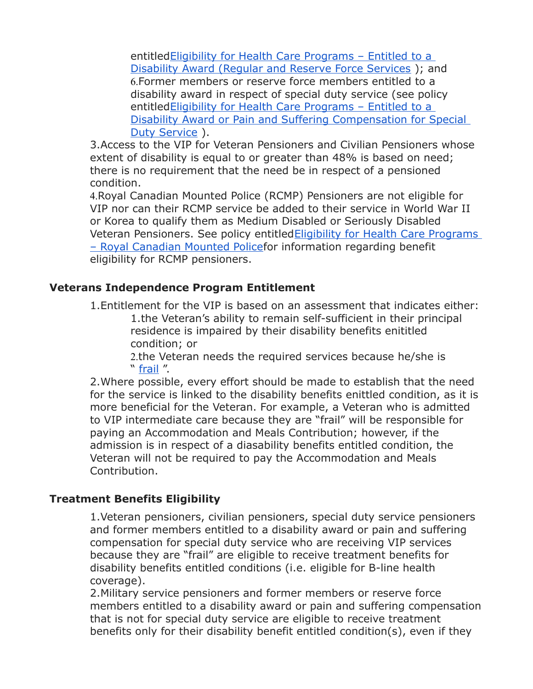entitle[dEligibility for Health Care Programs – Entitled to a](https://natoveterans.org/EmailTracker/LinkTracker.ashx?linkAndRecipientCode=j8BOvvK89SrpBSButC7M9vQga21urTqrKsvJ0fk7wLvrpY6RAycEEh2H58dy3YUwkx2cUl64JCSb42j9tWE0NobvN%2F6GhjyPn6vIXYpY164%3D)  [Disability Award \(Regular and Reserve Force Services](https://natoveterans.org/EmailTracker/LinkTracker.ashx?linkAndRecipientCode=j8BOvvK89SrpBSButC7M9vQga21urTqrKsvJ0fk7wLvrpY6RAycEEh2H58dy3YUwkx2cUl64JCSb42j9tWE0NobvN%2F6GhjyPn6vIXYpY164%3D) ); and 6.Former members or reserve force members entitled to a disability award in respect of special duty service (see policy entitle[dEligibility for Health Care Programs – Entitled to a](https://natoveterans.org/EmailTracker/LinkTracker.ashx?linkAndRecipientCode=YHnbtdgmFZLcPW%2B0zqKjWI32y%2FhiB9sTKXTkDRF%2Bi0TleDXbHC7WurBJeXLZfEyvUP0bk9ipaakRBqYbxjWO002kymmLnadn3IHjqVap04E%3D)  [Disability Award or Pain and Suffering Compensation for Special](https://natoveterans.org/EmailTracker/LinkTracker.ashx?linkAndRecipientCode=YHnbtdgmFZLcPW%2B0zqKjWI32y%2FhiB9sTKXTkDRF%2Bi0TleDXbHC7WurBJeXLZfEyvUP0bk9ipaakRBqYbxjWO002kymmLnadn3IHjqVap04E%3D)  [Duty Service](https://natoveterans.org/EmailTracker/LinkTracker.ashx?linkAndRecipientCode=YHnbtdgmFZLcPW%2B0zqKjWI32y%2FhiB9sTKXTkDRF%2Bi0TleDXbHC7WurBJeXLZfEyvUP0bk9ipaakRBqYbxjWO002kymmLnadn3IHjqVap04E%3D) ).

3.Access to the VIP for Veteran Pensioners and Civilian Pensioners whose extent of disability is equal to or greater than 48% is based on need; there is no requirement that the need be in respect of a pensioned condition.

4.Royal Canadian Mounted Police (RCMP) Pensioners are not eligible for VIP nor can their RCMP service be added to their service in World War II or Korea to qualify them as Medium Disabled or Seriously Disabled Veteran Pensioners. See policy entitle[dEligibility for Health Care Programs](https://natoveterans.org/EmailTracker/LinkTracker.ashx?linkAndRecipientCode=M26zXRBuHvWRI3BzJ%2BfYiWLwHfLrdMGQO1R%2FkJ3jV4hJGxXl6WaC%2F4M%2BngdpdTMCHycoLQ4HtfGDRYPyzWdvrzimt7%2BT%2FsyX6ajrtRnpVNc%3D)  [– Royal Canadian Mounted Policef](https://natoveterans.org/EmailTracker/LinkTracker.ashx?linkAndRecipientCode=M26zXRBuHvWRI3BzJ%2BfYiWLwHfLrdMGQO1R%2FkJ3jV4hJGxXl6WaC%2F4M%2BngdpdTMCHycoLQ4HtfGDRYPyzWdvrzimt7%2BT%2FsyX6ajrtRnpVNc%3D)or information regarding benefit eligibility for RCMP pensioners.

## **Veterans Independence Program Entitlement**

1.Entitlement for the VIP is based on an assessment that indicates either: 1.the Veteran's ability to remain self-sufficient in their principal residence is impaired by their disability benefits enititled condition; or

2.the Veteran needs the required services because he/she is " [frail](https://natoveterans.org/EmailTracker/LinkTracker.ashx?linkAndRecipientCode=0hqmhEQboAQ9u0MOgf7tbuU8LrXqtzi3%2F0rOm%2FeVYoNidsj2akpEX0ZpdQVtvNdxqcwy0%2BBbjSKcmpRvni6IkfTKLQhMWkb%2FiBTdf0LoK8Q%3D) ".

2.Where possible, every effort should be made to establish that the need for the service is linked to the disability benefits enittled condition, as it is more beneficial for the Veteran. For example, a Veteran who is admitted to VIP intermediate care because they are "frail" will be responsible for paying an Accommodation and Meals Contribution; however, if the admission is in respect of a diasability benefits entitled condition, the Veteran will not be required to pay the Accommodation and Meals Contribution.

## **Treatment Benefits Eligibility**

1.Veteran pensioners, civilian pensioners, special duty service pensioners and former members entitled to a disability award or pain and suffering compensation for special duty service who are receiving VIP services because they are "frail" are eligible to receive treatment benefits for disability benefits entitled conditions (i.e. eligible for B-line health coverage).

2.Military service pensioners and former members or reserve force members entitled to a disability award or pain and suffering compensation that is not for special duty service are eligible to receive treatment benefits only for their disability benefit entitled condition(s), even if they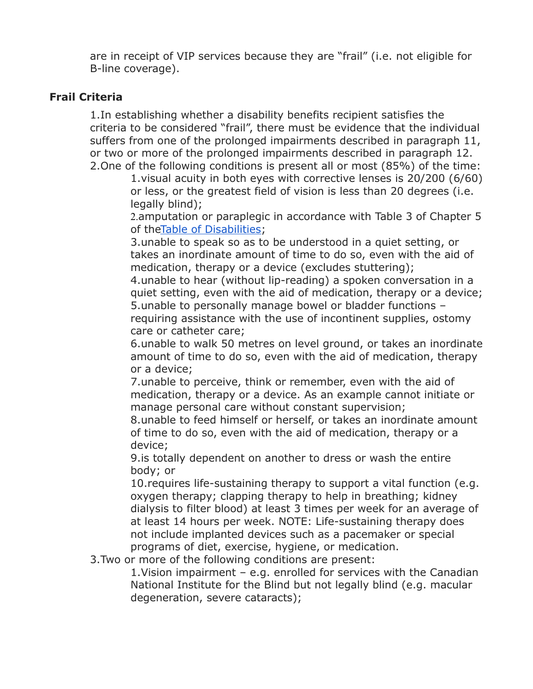are in receipt of VIP services because they are "frail" (i.e. not eligible for B-line coverage).

#### **Frail Criteria**

1.In establishing whether a disability benefits recipient satisfies the criteria to be considered "frail", there must be evidence that the individual suffers from one of the prolonged impairments described in paragraph 11, or two or more of the prolonged impairments described in paragraph 12. 2.One of the following conditions is present all or most (85%) of the time:

1.visual acuity in both eyes with corrective lenses is 20/200 (6/60) or less, or the greatest field of vision is less than 20 degrees (i.e. legally blind);

2.amputation or paraplegic in accordance with Table 3 of Chapter 5 of th[eTable of Disabilities;](https://natoveterans.org/EmailTracker/LinkTracker.ashx?linkAndRecipientCode=GOUscYCGwUPW%2FoMvWThoqPYVGLlMkzwQE%2BL8Mzrbq29PhAhJ9eTugFdwKUrSyZlhbw0Z8R%2BUy%2BnJmhaTOY56J4wg59LJpSaeVhcUDzL0q9Q%3D)

3.unable to speak so as to be understood in a quiet setting, or takes an inordinate amount of time to do so, even with the aid of medication, therapy or a device (excludes stuttering);

4.unable to hear (without lip-reading) a spoken conversation in a quiet setting, even with the aid of medication, therapy or a device; 5.unable to personally manage bowel or bladder functions – requiring assistance with the use of incontinent supplies, ostomy care or catheter care;

6.unable to walk 50 metres on level ground, or takes an inordinate amount of time to do so, even with the aid of medication, therapy or a device;

7.unable to perceive, think or remember, even with the aid of medication, therapy or a device. As an example cannot initiate or manage personal care without constant supervision;

8.unable to feed himself or herself, or takes an inordinate amount of time to do so, even with the aid of medication, therapy or a device;

9.is totally dependent on another to dress or wash the entire body; or

10.requires life-sustaining therapy to support a vital function (e.g. oxygen therapy; clapping therapy to help in breathing; kidney dialysis to filter blood) at least 3 times per week for an average of at least 14 hours per week. NOTE: Life-sustaining therapy does not include implanted devices such as a pacemaker or special programs of diet, exercise, hygiene, or medication.

3.Two or more of the following conditions are present:

1.Vision impairment – e.g. enrolled for services with the Canadian National Institute for the Blind but not legally blind (e.g. macular degeneration, severe cataracts);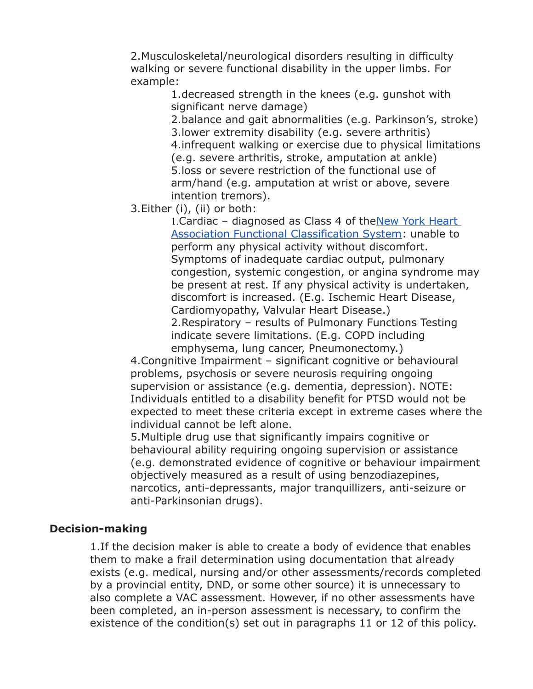2.Musculoskeletal/neurological disorders resulting in difficulty walking or severe functional disability in the upper limbs. For example:

1.decreased strength in the knees (e.g. gunshot with significant nerve damage)

2.balance and gait abnormalities (e.g. Parkinson's, stroke) 3.lower extremity disability (e.g. severe arthritis) 4.infrequent walking or exercise due to physical limitations (e.g. severe arthritis, stroke, amputation at ankle) 5.loss or severe restriction of the functional use of arm/hand (e.g. amputation at wrist or above, severe intention tremors).

3.Either (i), (ii) or both:

1. Cardiac - diagnosed as Class 4 of the New York Heart [Association Functional Classification System:](https://natoveterans.org/EmailTracker/LinkTracker.ashx?linkAndRecipientCode=1BNzRbwYOHgU8usbVTeJ0stv7TkRYMhW1sMEvy1fJnCPKEhvj8%2FzSHYiaNfZyiD2GFgRztG1tNB449fC%2F9%2B7bczt28rX48ItbQ42yTn4FUo%3D) unable to perform any physical activity without discomfort. Symptoms of inadequate cardiac output, pulmonary congestion, systemic congestion, or angina syndrome may be present at rest. If any physical activity is undertaken, discomfort is increased. (E.g. Ischemic Heart Disease, Cardiomyopathy, Valvular Heart Disease.) 2.Respiratory – results of Pulmonary Functions Testing indicate severe limitations. (E.g. COPD including

emphysema, lung cancer, Pneumonectomy.)

4.Congnitive Impairment – significant cognitive or behavioural problems, psychosis or severe neurosis requiring ongoing supervision or assistance (e.g. dementia, depression). NOTE: Individuals entitled to a disability benefit for PTSD would not be expected to meet these criteria except in extreme cases where the individual cannot be left alone.

5.Multiple drug use that significantly impairs cognitive or behavioural ability requiring ongoing supervision or assistance (e.g. demonstrated evidence of cognitive or behaviour impairment objectively measured as a result of using benzodiazepines, narcotics, anti-depressants, major tranquillizers, anti-seizure or anti-Parkinsonian drugs).

#### **Decision-making**

1.If the decision maker is able to create a body of evidence that enables them to make a frail determination using documentation that already exists (e.g. medical, nursing and/or other assessments/records completed by a provincial entity, DND, or some other source) it is unnecessary to also complete a VAC assessment. However, if no other assessments have been completed, an in-person assessment is necessary, to confirm the existence of the condition(s) set out in paragraphs 11 or 12 of this policy.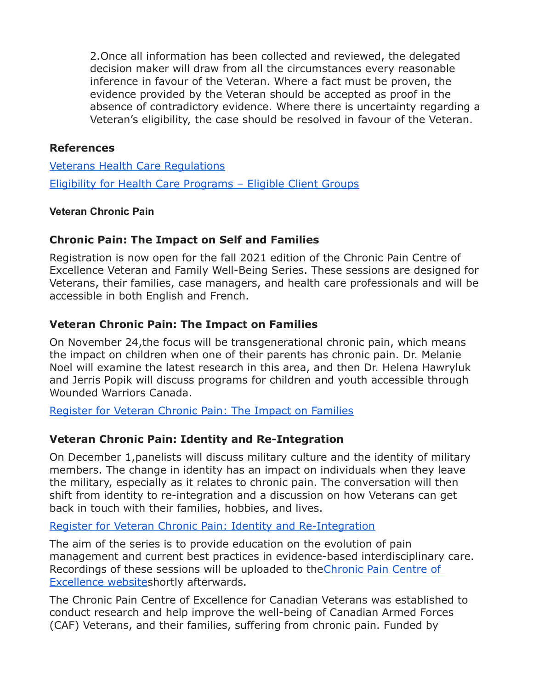2.Once all information has been collected and reviewed, the delegated decision maker will draw from all the circumstances every reasonable inference in favour of the Veteran. Where a fact must be proven, the evidence provided by the Veteran should be accepted as proof in the absence of contradictory evidence. Where there is uncertainty regarding a Veteran's eligibility, the case should be resolved in favour of the Veteran.

#### **References**

[Veterans Health Care Regulations](https://natoveterans.org/EmailTracker/LinkTracker.ashx?linkAndRecipientCode=zLorR6cHmj9O0js4IqIFV9qwDG%2FNYrWWJgVcVS%2BR5PiTfclCpv%2B%2BLdbD147SoZjeFAL1Y1KtR3xTHKsd9pQ67PevuGwNtiATWOQF3YMATcU%3D) [Eligibility for Health Care Programs – Eligible Client Groups](https://natoveterans.org/EmailTracker/LinkTracker.ashx?linkAndRecipientCode=ttgxCPbyKm6HoEyPyqzgwEey%2FTpvJLVoo5hNyVt6isi%2Fj2Il7in8cfKS3ehwJnnSzFEu1AWDRCPez8JH3jsMPEGnZqgTq8xtESJ6csKiPMY%3D)

#### **Veteran Chronic Pain**

#### **Chronic Pain: The Impact on Self and Families**

Registration is now open for the fall 2021 edition of the Chronic Pain Centre of Excellence Veteran and Family Well-Being Series. These sessions are designed for Veterans, their families, case managers, and health care professionals and will be accessible in both English and French.

#### **Veteran Chronic Pain: The Impact on Families**

On November 24,the focus will be transgenerational chronic pain, which means the impact on children when one of their parents has chronic pain. Dr. Melanie Noel will examine the latest research in this area, and then Dr. Helena Hawryluk and Jerris Popik will discuss programs for children and youth accessible through Wounded Warriors Canada.

[Register for Veteran Chronic Pain: The Impact on Families](https://natoveterans.org/EmailTracker/LinkTracker.ashx?linkAndRecipientCode=hrfleuRt4mYntVUYrq6IQzpz%2BP2boBaXpj5%2BqjvK%2BtQdtWV1BPIx8NSRo9rLR9j0o9akA01M3E7AMy0a3rXyUQU4S5qg44fSXQkYMeSfvhg%3D)

## **Veteran Chronic Pain: Identity and Re-Integration**

On December 1,panelists will discuss military culture and the identity of military members. The change in identity has an impact on individuals when they leave the military, especially as it relates to chronic pain. The conversation will then shift from identity to re-integration and a discussion on how Veterans can get back in touch with their families, hobbies, and lives.

#### [Register for Veteran Chronic Pain: Identity and Re-Integration](https://natoveterans.org/EmailTracker/LinkTracker.ashx?linkAndRecipientCode=pbbo9VKqzZ%2FKXMkOzfCxJb6YU5zry3%2FRfb6XhywsywS5edNSjgKhIfk3ohzuSfin2LmcuHKdFJlzO4ptbp4RxqXcoaIVW%2BVv4WbSp%2FgrVn4%3D)

The aim of the series is to provide education on the evolution of pain management and current best practices in evidence-based interdisciplinary care. Recordings of these sessions will be uploaded to the Chronic Pain Centre of [Excellence websites](https://natoveterans.org/EmailTracker/LinkTracker.ashx?linkAndRecipientCode=zgqgS5XN%2B73eVN6if7QT1g9xsO3QbDEuyKKxyExU%2BvZ0V0wxoODHalaJBUtWEcj3I4ozRZZuoNNFXrKqCf53rdEketwITFHXHaVsoZDyuQM%3D)hortly afterwards.

The Chronic Pain Centre of Excellence for Canadian Veterans was established to conduct research and help improve the well-being of Canadian Armed Forces (CAF) Veterans, and their families, suffering from chronic pain. Funded by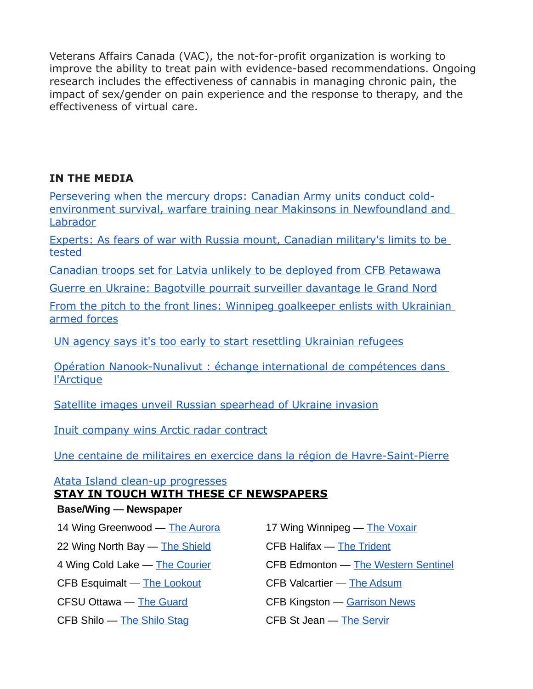Veterans Affairs Canada (VAC), the not-for-profit organization is working to improve the ability to treat pain with evidence-based recommendations. Ongoing research includes the effectiveness of cannabis in managing chronic pain, the impact of sex/gender on pain experience and the response to therapy, and the effectiveness of virtual care.

## **IN THE MEDIA**

[Persevering when the mercury drops: Canadian Army units conduct cold](http://sm1.multiview.com/t/gcH1AAibaBPWMWR~QLKJlCVP5WaaCCsFQRUoaaaaCCsBRCEJG9aa?l=1WlTzSvknamdl~25w8Tmdt.fml~amp;l=lmVjjif0XqWtV~25CsjWtd.vW1~amp;d=D~amp;p=)[environment survival, warfare training near Makinsons in Newfoundland and](http://sm1.multiview.com/t/gcH1AAibaBPWMWR~QLKJlCVP5WaaCCsFQRUoaaaaCCsBRCEJG9aa?l=1WlTzSvknamdl~25w8Tmdt.fml~amp;l=lmVjjif0XqWtV~25CsjWtd.vW1~amp;d=D~amp;p=)  [Labrador](http://sm1.multiview.com/t/gcH1AAibaBPWMWR~QLKJlCVP5WaaCCsFQRUoaaaaCCsBRCEJG9aa?l=1WlTzSvknamdl~25w8Tmdt.fml~amp;l=lmVjjif0XqWtV~25CsjWtd.vW1~amp;d=D~amp;p=)

[Experts: As fears of war with Russia mount, Canadian military's limits to be](http://sm1.multiview.com/t/gcH1AAibaBPWMWR~QLKJlCVP5WaaCCsFQRUoaaaaCCsBRCEJG9aa?l=1WlTzSvknamdl~25w8Tmdt.fml~amp;l=lmVjjif0XqWtV~25CsjWtd.vW1~amp;d=F~amp;p=)  [tested](http://sm1.multiview.com/t/gcH1AAibaBPWMWR~QLKJlCVP5WaaCCsFQRUoaaaaCCsBRCEJG9aa?l=1WlTzSvknamdl~25w8Tmdt.fml~amp;l=lmVjjif0XqWtV~25CsjWtd.vW1~amp;d=F~amp;p=)

[Canadian troops set for Latvia unlikely to be deployed from CFB Petawawa](http://sm1.multiview.com/t/gcH1AAibaBPWMWR~QLKJlCVP5WaaCCsFQRUoaaaaCCsBRCEJG9aa?l=1WlTzSvknamdl~25w8Tmdt.fml~amp;l=lmVjjif0XqWtV~25CsjWtd.vW1~amp;d=H~amp;p=)

[Guerre en Ukraine: Bagotville pourrait surveiller davantage le Grand Nord](http://sm1.multiview.com/t/gcH1AAibaBPWMWR~QLKJlCVP5WaaCCsFQRUoaaaaCCsBRCEJG9aa?l=1WlTzSvknamdl~25w8Tmdt.fml~amp;l=lmVjjif0XqWtV~25CsjWtd.vW1~amp;d=JT~amp;5=)

[From the pitch to the front lines: Winnipeg goalkeeper enlists with Ukrainian](http://sm1.multiview.com/t/gcH1AAibaBPWMWR~QLKJlCVP5WaaCCsFQRUoaaaaCCsBRCEJG9aa?l=1WlTzSvknamdl~25w8Tmdt.fml~amp;l=lmVjjif0XqWtV~25CsjWtd.vW1~amp;d=JV~amp;5=)  [armed forces](http://sm1.multiview.com/t/gcH1AAibaBPWMWR~QLKJlCVP5WaaCCsFQRUoaaaaCCsBRCEJG9aa?l=1WlTzSvknamdl~25w8Tmdt.fml~amp;l=lmVjjif0XqWtV~25CsjWtd.vW1~amp;d=JV~amp;5=)

[UN agency says it's too early to start resettling Ukrainian refugees](http://sm1.multiview.com/t/gcH1AAibaBPWMWR~QLKJlCVP5WaaCCsFQRUoaaaaCCsBRCEJG9aa?l=1WlTzSvknamdl~25w8Tmdt.fml~amp;l=lmVjjif0XqWtV~25CsjWtd.vW1~amp;d=JX~amp;5=)

[Opération Nanook-Nunalivut : échange international de compétences dans](http://sm1.multiview.com/t/gcH1AAibaBPWMWR~QLKJlCVP5WaaCCsFQRUoaaaaCCsBRCEJG9aa?l=1WlTzSvknamdl~25w8Tmdt.fml~amp;l=lmVjjif0XqWtV~25CsjWtd.vW1~amp;d=JZ~amp;5=)  [l'Arctique](http://sm1.multiview.com/t/gcH1AAibaBPWMWR~QLKJlCVP5WaaCCsFQRUoaaaaCCsBRCEJG9aa?l=1WlTzSvknamdl~25w8Tmdt.fml~amp;l=lmVjjif0XqWtV~25CsjWtd.vW1~amp;d=JZ~amp;5=)

[Satellite images unveil Russian spearhead of Ukraine invasion](http://sm1.multiview.com/t/gcH1AAibaBPWMWR~QLKJlCVP5WaaCCsFQRUoaaaaCCsBRCEJG9aa?l=1WlTzSvknamdl~25w8Tmdt.fml~amp;l=lmVjjif0XqWtV~25CsjWtd.vW1~amp;d=Jb~amp;5=)

[Inuit company wins Arctic radar contract](http://sm1.multiview.com/t/gcH1AAibaBPWMWR~QLKJlCVP5WaaCCsFQRUoaaaaCCsBRCEJG9aa?l=1WlTzSvknamdl~25w8Tmdt.fml~amp;l=lmVjjif0XqWtV~25CsjWtd.vW1~amp;d=Jd~amp;5=)

[Une centaine de militaires en exercice dans la région de Havre-Saint-Pierre](http://sm1.multiview.com/t/gcH1AAibaBPWMWR~QLKJlCVP5WaaCCsFQRUoaaaaCCsBRCEJG9aa?l=1WlTzSvknamdl~25w8Tmdt.fml~amp;l=lmVjjif0XqWtV~25CsjWtd.vW1~amp;d=Jh~amp;5=)

## [Atata Island clean-up progresses](http://sm1.multiview.com/t/gcH1AAibaBPWMWR~QLKJlCVP5WaaCCsFQRUoaaaaCCsBRCEJG9aa?l=1WlTzSvknamdl~25w8Tmdt.fml~amp;l=lmVjjif0XqWtV~25CsjWtd.vW1~amp;d=Jf~amp;5=)

## **STAY IN TOUCH WITH THESE CF NEWSPAPERS**

## **Base/Wing — Newspaper**

14 Wing Greenwood — [The Aurora](http://sm1.multiview.com/t/gcH1AAibaBPWMWR~QLKJlCVP5WaaCCsFQRUoaaaaCCsBRCEJG9aa?l=1WlTzSvknamdl~25w8Tmdt.fml~amp;l=lmVjjif0XqWtV~25CsjWtd.vW1~amp;d=Jj~amp;5=) 17 Wing Winnipeg — [The Voxair](http://sm1.multiview.com/t/gcH1AAibaBPWMWR~QLKJlCVP5WaaCCsFQRUoaaaaCCsBRCEJG9aa?l=1WlTzSvknamdl~25w8Tmdt.fml~amp;l=lmVjjif0XqWtV~25CsjWtd.vW1~amp;d=Jk~amp;5=)

22 Wing North Bay — [The Shield](http://sm1.multiview.com/t/gcH1AAibaBPWMWR~QLKJlCVP5WaaCCsFQRUoaaaaCCsBRCEJG9aa?l=1WlTzSvknamdl~25w8Tmdt.fml~amp;l=lmVjjif0XqWtV~25CsjWtd.vW1~amp;d=Jl~amp;5=) CFB Halifax — [The Trident](http://sm1.multiview.com/t/gcH1AAibaBPWMWR~QLKJlCVP5WaaCCsFQRUoaaaaCCsBRCEJG9aa?l=1WlTzSvknamdl~25w8Tmdt.fml~amp;l=lmVjjif0XqWtV~25CsjWtd.vW1~amp;d=Jm~amp;5=)

CFB Esquimalt — [The Lookout](http://sm1.multiview.com/t/gcH1AAibaBPWMWR~QLKJlCVP5WaaCCsFQRUoaaaaCCsBRCEJG9aa?l=1WlTzSvknamdl~25w8Tmdt.fml~amp;l=lmVjjif0XqWtV~25CsjWtd.vW1~amp;d=Jp~amp;5=) CFB Valcartier — [The Adsum](http://sm1.multiview.com/t/gcH1AAibaBPWMWR~QLKJlCVP5WaaCCsFQRUoaaaaCCsBRCEJG9aa?l=1WlTzSvknamdl~25w8Tmdt.fml~amp;l=lmVjjif0XqWtV~25CsjWtd.vW1~amp;d=Jq~amp;5=)

CFB Shilo — [The Shilo Stag](http://sm1.multiview.com/t/gcH1AAibaBPWMWR~QLKJlCVP5WaaCCsFQRUoaaaaCCsBRCEJG9aa?l=1WlTzSvknamdl~25w8Tmdt.fml~amp;l=lmVjjif0XqWtV~25CsjWtd.vW1~amp;d=Jx~amp;5=) CFB St Jean — [The Servir](http://sm1.multiview.com/t/gcH1AAibaBPWMWR~QLKJlCVP5WaaCCsFQRUoaaaaCCsBRCEJG9aa?l=1WlTzSvknamdl~25w8Tmdt.fml~amp;l=lmVjjif0XqWtV~25CsjWtd.vW1~amp;d=Jy~amp;5=)

- 
- 
- 4 Wing Cold Lake [The Courier](http://sm1.multiview.com/t/gcH1AAibaBPWMWR~QLKJlCVP5WaaCCsFQRUoaaaaCCsBRCEJG9aa?l=1WlTzSvknamdl~25w8Tmdt.fml~amp;l=lmVjjif0XqWtV~25CsjWtd.vW1~amp;d=Jn~amp;5=) **CFB Edmonton [The Western Sentinel](http://sm1.multiview.com/t/gcH1AAibaBPWMWR~QLKJlCVP5WaaCCsFQRUoaaaaCCsBRCEJG9aa?l=1WlTzSvknamdl~25w8Tmdt.fml~amp;l=lmVjjif0XqWtV~25CsjWtd.vW1~amp;d=Jo~amp;5=)** 
	-
- CFSU Ottawa [The Guard](http://sm1.multiview.com/t/gcH1AAibaBPWMWR~QLKJlCVP5WaaCCsFQRUoaaaaCCsBRCEJG9aa?l=1WlTzSvknamdl~25w8Tmdt.fml~amp;l=lmVjjif0XqWtV~25CsjWtd.vW1~amp;d=Jr~amp;5=) CFB Kingston [Garrison News](http://sm1.multiview.com/t/gcH1AAibaBPWMWR~QLKJlCVP5WaaCCsFQRUoaaaaCCsBRCEJG9aa?l=1WlTzSvknamdl~25w8Tmdt.fml~amp;l=lmVjjif0XqWtV~25CsjWtd.vW1~amp;d=J~7E~amp;p=)
	-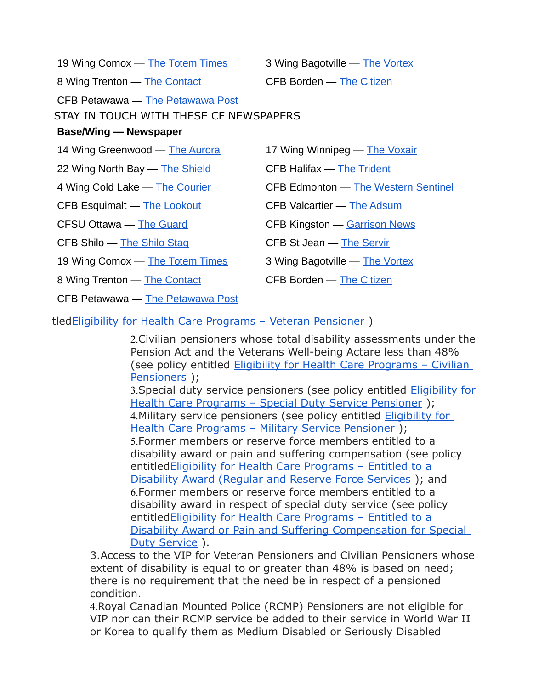| 19 Wing Comox — The Totem Times                                                                            | 3 Wing Bagotville — The Vortex             |
|------------------------------------------------------------------------------------------------------------|--------------------------------------------|
| 8 Wing Trenton — The Contact                                                                               | <b>CFB Borden — The Citizen</b>            |
| CFB Petawawa — The Petawawa Post<br>STAY IN TOUCH WITH THESE CF NEWSPAPERS<br><b>Base/Wing — Newspaper</b> |                                            |
| 14 Wing Greenwood — The Aurora                                                                             | 17 Wing Winnipeg — The Voxair              |
| 22 Wing North Bay - The Shield                                                                             | <b>CFB Halifax — The Trident</b>           |
| 4 Wing Cold Lake — The Courier                                                                             | <b>CFB Edmonton — The Western Sentinel</b> |
| CFB Esquimalt - The Lookout                                                                                | <b>CFB Valcartier — The Adsum</b>          |
| <b>CFSU Ottawa - The Guard</b>                                                                             | <b>CFB Kingston — Garrison News</b>        |
| CFB Shilo — The Shilo Stag                                                                                 | CFB St Jean - The Servir                   |
| 19 Wing Comox — The Totem Times                                                                            | 3 Wing Bagotville — The Vortex             |
| 8 Wing Trenton — The Contact                                                                               | <b>CFB Borden — The Citizen</b>            |
| CFB Petawawa — The Petawawa Post                                                                           |                                            |
|                                                                                                            |                                            |

#### tle[dEligibility for Health Care Programs – Veteran Pensioner](https://natoveterans.org/EmailTracker/LinkTracker.ashx?linkAndRecipientCode=Sroham0j6CXPMqc0EcYGc6m70ADegJVzJmFkxUw9Q84z3CCRhfEUwyQuB4WTNJR7FIa%2B%2Fq51d3XhXS7N46mrCy7%2BMwG%2BKfWouqtavqrm8c4%3D) )

2.Civilian pensioners whose total disability assessments under the Pension Act and the Veterans Well-being Actare less than 48% (see policy entitled [Eligibility for Health Care Programs – Civilian](https://natoveterans.org/EmailTracker/LinkTracker.ashx?linkAndRecipientCode=y2PaR%2ByxJ0oNelusKIBowmYQP0jvDEnIjLdnyu%2B3wNy4sQr%2FliJbejLZGVLkLvGWChrJZTwVhwd9IKW5rK7M%2BU9fh8u9BcjCO12ec3ZTTGE%3D)  [Pensioners](https://natoveterans.org/EmailTracker/LinkTracker.ashx?linkAndRecipientCode=y2PaR%2ByxJ0oNelusKIBowmYQP0jvDEnIjLdnyu%2B3wNy4sQr%2FliJbejLZGVLkLvGWChrJZTwVhwd9IKW5rK7M%2BU9fh8u9BcjCO12ec3ZTTGE%3D) );

3. Special duty service pensioners (see policy entitled **Eligibility for** Health Care Programs - Special Duty Service Pensioner); 4. Military service pensioners (see policy entitled **Eligibility for** [Health Care Programs – Military Service Pensioner](https://natoveterans.org/EmailTracker/LinkTracker.ashx?linkAndRecipientCode=ak4VniCiMqTNoCRAVSl%2BTsPB3zKS5QIl6xR6kq48Uq30oyq9mPmVyqs2RI9Twi28KpBm7dmvDUPnTzrxLH4chEy1wK6txzJ2FcRWQsGd4I0%3D) ); 5.Former members or reserve force members entitled to a disability award or pain and suffering compensation (see policy entitle[dEligibility for Health Care Programs – Entitled to a](https://natoveterans.org/EmailTracker/LinkTracker.ashx?linkAndRecipientCode=j8BOvvK89SrpBSButC7M9vQga21urTqrKsvJ0fk7wLvrpY6RAycEEh2H58dy3YUwkx2cUl64JCSb42j9tWE0NobvN%2F6GhjyPn6vIXYpY164%3D)  [Disability Award \(Regular and Reserve Force Services](https://natoveterans.org/EmailTracker/LinkTracker.ashx?linkAndRecipientCode=j8BOvvK89SrpBSButC7M9vQga21urTqrKsvJ0fk7wLvrpY6RAycEEh2H58dy3YUwkx2cUl64JCSb42j9tWE0NobvN%2F6GhjyPn6vIXYpY164%3D) ); and 6.Former members or reserve force members entitled to a disability award in respect of special duty service (see policy entitle[dEligibility for Health Care Programs – Entitled to a](https://natoveterans.org/EmailTracker/LinkTracker.ashx?linkAndRecipientCode=YHnbtdgmFZLcPW%2B0zqKjWI32y%2FhiB9sTKXTkDRF%2Bi0TleDXbHC7WurBJeXLZfEyvUP0bk9ipaakRBqYbxjWO002kymmLnadn3IHjqVap04E%3D)  [Disability Award or Pain and Suffering Compensation for Special](https://natoveterans.org/EmailTracker/LinkTracker.ashx?linkAndRecipientCode=YHnbtdgmFZLcPW%2B0zqKjWI32y%2FhiB9sTKXTkDRF%2Bi0TleDXbHC7WurBJeXLZfEyvUP0bk9ipaakRBqYbxjWO002kymmLnadn3IHjqVap04E%3D)  [Duty Service](https://natoveterans.org/EmailTracker/LinkTracker.ashx?linkAndRecipientCode=YHnbtdgmFZLcPW%2B0zqKjWI32y%2FhiB9sTKXTkDRF%2Bi0TleDXbHC7WurBJeXLZfEyvUP0bk9ipaakRBqYbxjWO002kymmLnadn3IHjqVap04E%3D) ).

3.Access to the VIP for Veteran Pensioners and Civilian Pensioners whose extent of disability is equal to or greater than 48% is based on need; there is no requirement that the need be in respect of a pensioned condition.

4.Royal Canadian Mounted Police (RCMP) Pensioners are not eligible for VIP nor can their RCMP service be added to their service in World War II or Korea to qualify them as Medium Disabled or Seriously Disabled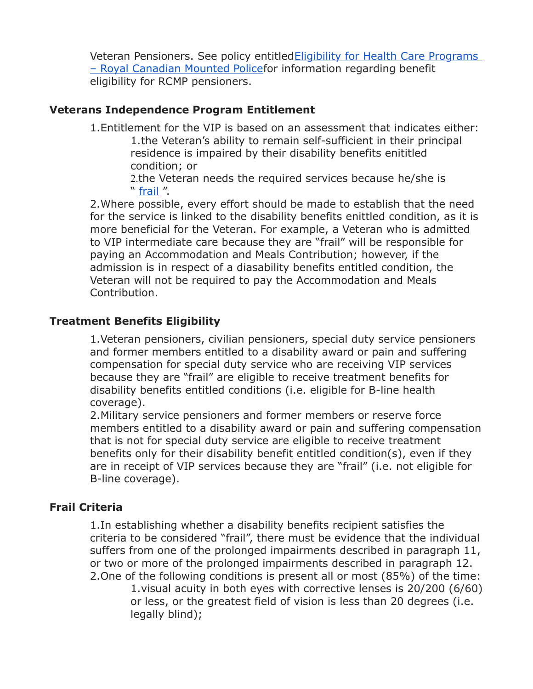Veteran Pensioners. See policy entitled Eligibility for Health Care Programs [– Royal Canadian Mounted Policef](https://natoveterans.org/EmailTracker/LinkTracker.ashx?linkAndRecipientCode=M26zXRBuHvWRI3BzJ%2BfYiWLwHfLrdMGQO1R%2FkJ3jV4hJGxXl6WaC%2F4M%2BngdpdTMCHycoLQ4HtfGDRYPyzWdvrzimt7%2BT%2FsyX6ajrtRnpVNc%3D)or information regarding benefit eligibility for RCMP pensioners.

#### **Veterans Independence Program Entitlement**

1.Entitlement for the VIP is based on an assessment that indicates either: 1.the Veteran's ability to remain self-sufficient in their principal residence is impaired by their disability benefits enititled condition; or

2.the Veteran needs the required services because he/she is " [frail](https://natoveterans.org/EmailTracker/LinkTracker.ashx?linkAndRecipientCode=0hqmhEQboAQ9u0MOgf7tbuU8LrXqtzi3%2F0rOm%2FeVYoNidsj2akpEX0ZpdQVtvNdxqcwy0%2BBbjSKcmpRvni6IkfTKLQhMWkb%2FiBTdf0LoK8Q%3D) ".

2.Where possible, every effort should be made to establish that the need for the service is linked to the disability benefits enittled condition, as it is more beneficial for the Veteran. For example, a Veteran who is admitted to VIP intermediate care because they are "frail" will be responsible for paying an Accommodation and Meals Contribution; however, if the admission is in respect of a diasability benefits entitled condition, the Veteran will not be required to pay the Accommodation and Meals Contribution.

#### **Treatment Benefits Eligibility**

1.Veteran pensioners, civilian pensioners, special duty service pensioners and former members entitled to a disability award or pain and suffering compensation for special duty service who are receiving VIP services because they are "frail" are eligible to receive treatment benefits for disability benefits entitled conditions (i.e. eligible for B-line health coverage).

2.Military service pensioners and former members or reserve force members entitled to a disability award or pain and suffering compensation that is not for special duty service are eligible to receive treatment benefits only for their disability benefit entitled condition(s), even if they are in receipt of VIP services because they are "frail" (i.e. not eligible for B-line coverage).

#### **Frail Criteria**

1.In establishing whether a disability benefits recipient satisfies the criteria to be considered "frail", there must be evidence that the individual suffers from one of the prolonged impairments described in paragraph 11, or two or more of the prolonged impairments described in paragraph 12. 2.One of the following conditions is present all or most (85%) of the time: 1.visual acuity in both eyes with corrective lenses is 20/200 (6/60) or less, or the greatest field of vision is less than 20 degrees (i.e. legally blind);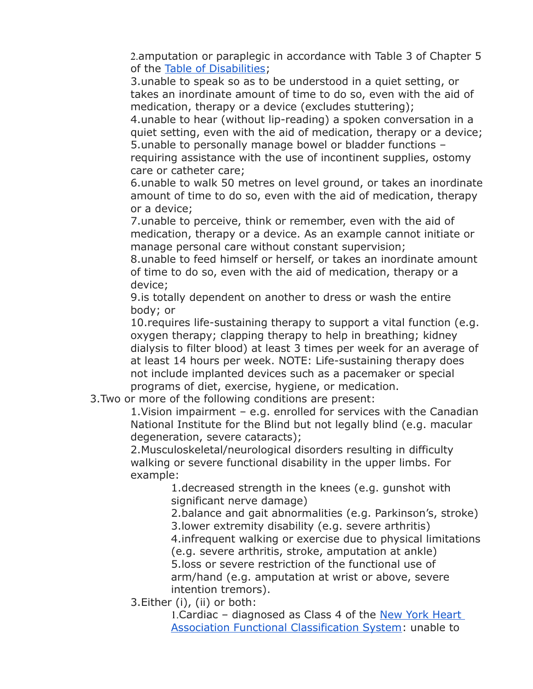2.amputation or paraplegic in accordance with Table 3 of Chapter 5 of the [Table of Disabilities;](https://natoveterans.org/EmailTracker/LinkTracker.ashx?linkAndRecipientCode=GOUscYCGwUPW%2FoMvWThoqPYVGLlMkzwQE%2BL8Mzrbq29PhAhJ9eTugFdwKUrSyZlhbw0Z8R%2BUy%2BnJmhaTOY56J4wg59LJpSaeVhcUDzL0q9Q%3D)

3.unable to speak so as to be understood in a quiet setting, or takes an inordinate amount of time to do so, even with the aid of medication, therapy or a device (excludes stuttering);

4.unable to hear (without lip-reading) a spoken conversation in a quiet setting, even with the aid of medication, therapy or a device; 5.unable to personally manage bowel or bladder functions – requiring assistance with the use of incontinent supplies, ostomy care or catheter care;

6.unable to walk 50 metres on level ground, or takes an inordinate amount of time to do so, even with the aid of medication, therapy or a device;

7.unable to perceive, think or remember, even with the aid of medication, therapy or a device. As an example cannot initiate or manage personal care without constant supervision;

8.unable to feed himself or herself, or takes an inordinate amount of time to do so, even with the aid of medication, therapy or a device;

9.is totally dependent on another to dress or wash the entire body; or

10.requires life-sustaining therapy to support a vital function (e.g. oxygen therapy; clapping therapy to help in breathing; kidney dialysis to filter blood) at least 3 times per week for an average of at least 14 hours per week. NOTE: Life-sustaining therapy does not include implanted devices such as a pacemaker or special programs of diet, exercise, hygiene, or medication.

3.Two or more of the following conditions are present:

1.Vision impairment – e.g. enrolled for services with the Canadian National Institute for the Blind but not legally blind (e.g. macular degeneration, severe cataracts);

2.Musculoskeletal/neurological disorders resulting in difficulty walking or severe functional disability in the upper limbs. For example:

1.decreased strength in the knees (e.g. gunshot with significant nerve damage)

2.balance and gait abnormalities (e.g. Parkinson's, stroke) 3.lower extremity disability (e.g. severe arthritis) 4.infrequent walking or exercise due to physical limitations (e.g. severe arthritis, stroke, amputation at ankle) 5.loss or severe restriction of the functional use of arm/hand (e.g. amputation at wrist or above, severe intention tremors).

3.Either (i), (ii) or both:

1.Cardiac – diagnosed as Class 4 of the [New York Heart](https://natoveterans.org/EmailTracker/LinkTracker.ashx?linkAndRecipientCode=1BNzRbwYOHgU8usbVTeJ0stv7TkRYMhW1sMEvy1fJnCPKEhvj8%2FzSHYiaNfZyiD2GFgRztG1tNB449fC%2F9%2B7bczt28rX48ItbQ42yTn4FUo%3D)  [Association Functional Classification System:](https://natoveterans.org/EmailTracker/LinkTracker.ashx?linkAndRecipientCode=1BNzRbwYOHgU8usbVTeJ0stv7TkRYMhW1sMEvy1fJnCPKEhvj8%2FzSHYiaNfZyiD2GFgRztG1tNB449fC%2F9%2B7bczt28rX48ItbQ42yTn4FUo%3D) unable to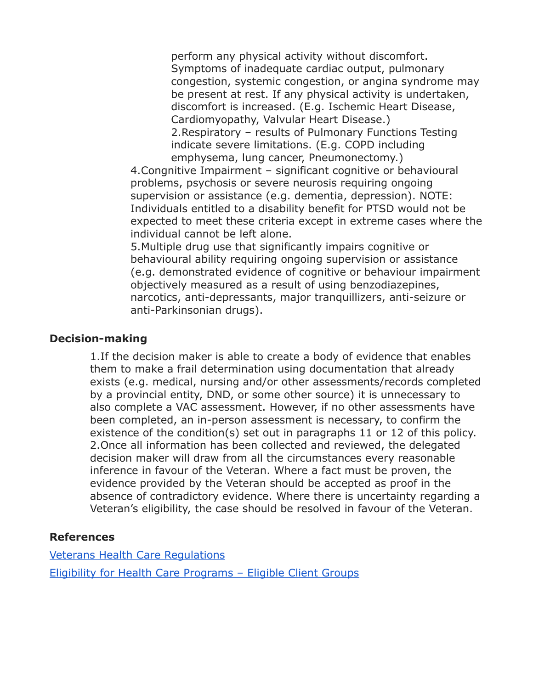perform any physical activity without discomfort. Symptoms of inadequate cardiac output, pulmonary congestion, systemic congestion, or angina syndrome may be present at rest. If any physical activity is undertaken, discomfort is increased. (E.g. Ischemic Heart Disease, Cardiomyopathy, Valvular Heart Disease.) 2.Respiratory – results of Pulmonary Functions Testing indicate severe limitations. (E.g. COPD including emphysema, lung cancer, Pneumonectomy.)

4.Congnitive Impairment – significant cognitive or behavioural problems, psychosis or severe neurosis requiring ongoing supervision or assistance (e.g. dementia, depression). NOTE: Individuals entitled to a disability benefit for PTSD would not be expected to meet these criteria except in extreme cases where the individual cannot be left alone.

5.Multiple drug use that significantly impairs cognitive or behavioural ability requiring ongoing supervision or assistance (e.g. demonstrated evidence of cognitive or behaviour impairment objectively measured as a result of using benzodiazepines, narcotics, anti-depressants, major tranquillizers, anti-seizure or anti-Parkinsonian drugs).

#### **Decision-making**

1.If the decision maker is able to create a body of evidence that enables them to make a frail determination using documentation that already exists (e.g. medical, nursing and/or other assessments/records completed by a provincial entity, DND, or some other source) it is unnecessary to also complete a VAC assessment. However, if no other assessments have been completed, an in-person assessment is necessary, to confirm the existence of the condition(s) set out in paragraphs 11 or 12 of this policy. 2.Once all information has been collected and reviewed, the delegated decision maker will draw from all the circumstances every reasonable inference in favour of the Veteran. Where a fact must be proven, the evidence provided by the Veteran should be accepted as proof in the absence of contradictory evidence. Where there is uncertainty regarding a Veteran's eligibility, the case should be resolved in favour of the Veteran.

#### **References**

[Veterans Health Care Regulations](https://natoveterans.org/EmailTracker/LinkTracker.ashx?linkAndRecipientCode=zLorR6cHmj9O0js4IqIFV9qwDG%2FNYrWWJgVcVS%2BR5PiTfclCpv%2B%2BLdbD147SoZjeFAL1Y1KtR3xTHKsd9pQ67PevuGwNtiATWOQF3YMATcU%3D) [Eligibility for Health Care Programs – Eligible Client Groups](https://natoveterans.org/EmailTracker/LinkTracker.ashx?linkAndRecipientCode=ttgxCPbyKm6HoEyPyqzgwEey%2FTpvJLVoo5hNyVt6isi%2Fj2Il7in8cfKS3ehwJnnSzFEu1AWDRCPez8JH3jsMPEGnZqgTq8xtESJ6csKiPMY%3D)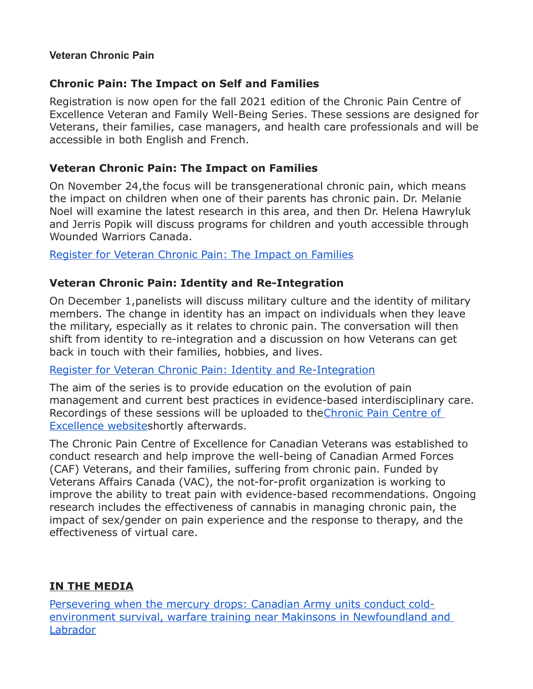#### **Veteran Chronic Pain**

#### **Chronic Pain: The Impact on Self and Families**

Registration is now open for the fall 2021 edition of the Chronic Pain Centre of Excellence Veteran and Family Well-Being Series. These sessions are designed for Veterans, their families, case managers, and health care professionals and will be accessible in both English and French.

#### **Veteran Chronic Pain: The Impact on Families**

On November 24,the focus will be transgenerational chronic pain, which means the impact on children when one of their parents has chronic pain. Dr. Melanie Noel will examine the latest research in this area, and then Dr. Helena Hawryluk and Jerris Popik will discuss programs for children and youth accessible through Wounded Warriors Canada.

[Register for Veteran Chronic Pain: The Impact on Families](https://natoveterans.org/EmailTracker/LinkTracker.ashx?linkAndRecipientCode=hrfleuRt4mYntVUYrq6IQzpz%2BP2boBaXpj5%2BqjvK%2BtQdtWV1BPIx8NSRo9rLR9j0o9akA01M3E7AMy0a3rXyUQU4S5qg44fSXQkYMeSfvhg%3D)

## **Veteran Chronic Pain: Identity and Re-Integration**

On December 1,panelists will discuss military culture and the identity of military members. The change in identity has an impact on individuals when they leave the military, especially as it relates to chronic pain. The conversation will then shift from identity to re-integration and a discussion on how Veterans can get back in touch with their families, hobbies, and lives.

## [Register for Veteran Chronic Pain: Identity and Re-Integration](https://natoveterans.org/EmailTracker/LinkTracker.ashx?linkAndRecipientCode=pbbo9VKqzZ%2FKXMkOzfCxJb6YU5zry3%2FRfb6XhywsywS5edNSjgKhIfk3ohzuSfin2LmcuHKdFJlzO4ptbp4RxqXcoaIVW%2BVv4WbSp%2FgrVn4%3D)

The aim of the series is to provide education on the evolution of pain management and current best practices in evidence-based interdisciplinary care. Recordings of these sessions will be uploaded to th[eChronic Pain Centre of](https://natoveterans.org/EmailTracker/LinkTracker.ashx?linkAndRecipientCode=zgqgS5XN%2B73eVN6if7QT1g9xsO3QbDEuyKKxyExU%2BvZ0V0wxoODHalaJBUtWEcj3I4ozRZZuoNNFXrKqCf53rdEketwITFHXHaVsoZDyuQM%3D)  [Excellence websites](https://natoveterans.org/EmailTracker/LinkTracker.ashx?linkAndRecipientCode=zgqgS5XN%2B73eVN6if7QT1g9xsO3QbDEuyKKxyExU%2BvZ0V0wxoODHalaJBUtWEcj3I4ozRZZuoNNFXrKqCf53rdEketwITFHXHaVsoZDyuQM%3D)hortly afterwards.

The Chronic Pain Centre of Excellence for Canadian Veterans was established to conduct research and help improve the well-being of Canadian Armed Forces (CAF) Veterans, and their families, suffering from chronic pain. Funded by Veterans Affairs Canada (VAC), the not-for-profit organization is working to improve the ability to treat pain with evidence-based recommendations. Ongoing research includes the effectiveness of cannabis in managing chronic pain, the impact of sex/gender on pain experience and the response to therapy, and the effectiveness of virtual care.

## **IN THE MEDIA**

[Persevering when the mercury drops: Canadian Army units conduct cold](http://sm1.multiview.com/t/gcH1AAibaBPWMWR~QLKJlCVP5WaaCCsFQRUoaaaaCCsBRCEJG9aa?l=1WlTzSvknamdl~25w8Tmdt.fml~amp;l=lmVjjif0XqWtV~25CsjWtd.vW1~amp;d=D~amp;p=)[environment survival, warfare training near Makinsons in Newfoundland and](http://sm1.multiview.com/t/gcH1AAibaBPWMWR~QLKJlCVP5WaaCCsFQRUoaaaaCCsBRCEJG9aa?l=1WlTzSvknamdl~25w8Tmdt.fml~amp;l=lmVjjif0XqWtV~25CsjWtd.vW1~amp;d=D~amp;p=)  [Labrador](http://sm1.multiview.com/t/gcH1AAibaBPWMWR~QLKJlCVP5WaaCCsFQRUoaaaaCCsBRCEJG9aa?l=1WlTzSvknamdl~25w8Tmdt.fml~amp;l=lmVjjif0XqWtV~25CsjWtd.vW1~amp;d=D~amp;p=)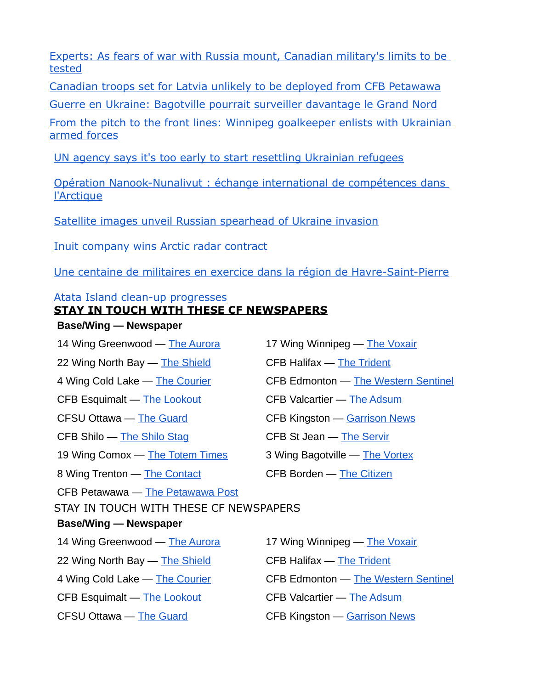[Experts: As fears of war with Russia mount, Canadian military's limits to be](http://sm1.multiview.com/t/gcH1AAibaBPWMWR~QLKJlCVP5WaaCCsFQRUoaaaaCCsBRCEJG9aa?l=1WlTzSvknamdl~25w8Tmdt.fml~amp;l=lmVjjif0XqWtV~25CsjWtd.vW1~amp;d=F~amp;p=)  [tested](http://sm1.multiview.com/t/gcH1AAibaBPWMWR~QLKJlCVP5WaaCCsFQRUoaaaaCCsBRCEJG9aa?l=1WlTzSvknamdl~25w8Tmdt.fml~amp;l=lmVjjif0XqWtV~25CsjWtd.vW1~amp;d=F~amp;p=)

[Canadian troops set for Latvia unlikely to be deployed from CFB Petawawa](http://sm1.multiview.com/t/gcH1AAibaBPWMWR~QLKJlCVP5WaaCCsFQRUoaaaaCCsBRCEJG9aa?l=1WlTzSvknamdl~25w8Tmdt.fml~amp;l=lmVjjif0XqWtV~25CsjWtd.vW1~amp;d=H~amp;p=)

[Guerre en Ukraine: Bagotville pourrait surveiller davantage le Grand Nord](http://sm1.multiview.com/t/gcH1AAibaBPWMWR~QLKJlCVP5WaaCCsFQRUoaaaaCCsBRCEJG9aa?l=1WlTzSvknamdl~25w8Tmdt.fml~amp;l=lmVjjif0XqWtV~25CsjWtd.vW1~amp;d=JT~amp;5=)

[From the pitch to the front lines: Winnipeg goalkeeper enlists with Ukrainian](http://sm1.multiview.com/t/gcH1AAibaBPWMWR~QLKJlCVP5WaaCCsFQRUoaaaaCCsBRCEJG9aa?l=1WlTzSvknamdl~25w8Tmdt.fml~amp;l=lmVjjif0XqWtV~25CsjWtd.vW1~amp;d=JV~amp;5=)  [armed forces](http://sm1.multiview.com/t/gcH1AAibaBPWMWR~QLKJlCVP5WaaCCsFQRUoaaaaCCsBRCEJG9aa?l=1WlTzSvknamdl~25w8Tmdt.fml~amp;l=lmVjjif0XqWtV~25CsjWtd.vW1~amp;d=JV~amp;5=)

[UN agency says it's too early to start resettling Ukrainian refugees](http://sm1.multiview.com/t/gcH1AAibaBPWMWR~QLKJlCVP5WaaCCsFQRUoaaaaCCsBRCEJG9aa?l=1WlTzSvknamdl~25w8Tmdt.fml~amp;l=lmVjjif0XqWtV~25CsjWtd.vW1~amp;d=JX~amp;5=)

[Opération Nanook-Nunalivut : échange international de compétences dans](http://sm1.multiview.com/t/gcH1AAibaBPWMWR~QLKJlCVP5WaaCCsFQRUoaaaaCCsBRCEJG9aa?l=1WlTzSvknamdl~25w8Tmdt.fml~amp;l=lmVjjif0XqWtV~25CsjWtd.vW1~amp;d=JZ~amp;5=)  [l'Arctique](http://sm1.multiview.com/t/gcH1AAibaBPWMWR~QLKJlCVP5WaaCCsFQRUoaaaaCCsBRCEJG9aa?l=1WlTzSvknamdl~25w8Tmdt.fml~amp;l=lmVjjif0XqWtV~25CsjWtd.vW1~amp;d=JZ~amp;5=)

[Satellite images unveil Russian spearhead of Ukraine invasion](http://sm1.multiview.com/t/gcH1AAibaBPWMWR~QLKJlCVP5WaaCCsFQRUoaaaaCCsBRCEJG9aa?l=1WlTzSvknamdl~25w8Tmdt.fml~amp;l=lmVjjif0XqWtV~25CsjWtd.vW1~amp;d=Jb~amp;5=)

[Inuit company wins Arctic radar contract](http://sm1.multiview.com/t/gcH1AAibaBPWMWR~QLKJlCVP5WaaCCsFQRUoaaaaCCsBRCEJG9aa?l=1WlTzSvknamdl~25w8Tmdt.fml~amp;l=lmVjjif0XqWtV~25CsjWtd.vW1~amp;d=Jd~amp;5=)

[Une centaine de militaires en exercice dans la région de Havre-Saint-Pierre](http://sm1.multiview.com/t/gcH1AAibaBPWMWR~QLKJlCVP5WaaCCsFQRUoaaaaCCsBRCEJG9aa?l=1WlTzSvknamdl~25w8Tmdt.fml~amp;l=lmVjjif0XqWtV~25CsjWtd.vW1~amp;d=Jh~amp;5=)

#### [Atata Island clean-up progresses](http://sm1.multiview.com/t/gcH1AAibaBPWMWR~QLKJlCVP5WaaCCsFQRUoaaaaCCsBRCEJG9aa?l=1WlTzSvknamdl~25w8Tmdt.fml~amp;l=lmVjjif0XqWtV~25CsjWtd.vW1~amp;d=Jf~amp;5=)

## **STAY IN TOUCH WITH THESE CF NEWSPAPERS**

#### **Base/Wing — Newspaper**

14 Wing Greenwood — [The Aurora](http://sm1.multiview.com/t/gcH1AAibaBPWMWR~QLKJlCVP5WaaCCsFQRUoaaaaCCsBRCEJG9aa?l=1WlTzSvknamdl~25w8Tmdt.fml~amp;l=lmVjjif0XqWtV~25CsjWtd.vW1~amp;d=Jj~amp;5=) 17 Wing Winnipeg — [The Voxair](http://sm1.multiview.com/t/gcH1AAibaBPWMWR~QLKJlCVP5WaaCCsFQRUoaaaaCCsBRCEJG9aa?l=1WlTzSvknamdl~25w8Tmdt.fml~amp;l=lmVjjif0XqWtV~25CsjWtd.vW1~amp;d=Jk~amp;5=) 22 Wing North Bay — [The Shield](http://sm1.multiview.com/t/gcH1AAibaBPWMWR~QLKJlCVP5WaaCCsFQRUoaaaaCCsBRCEJG9aa?l=1WlTzSvknamdl~25w8Tmdt.fml~amp;l=lmVjjif0XqWtV~25CsjWtd.vW1~amp;d=Jl~amp;5=) CFB Halifax — [The Trident](http://sm1.multiview.com/t/gcH1AAibaBPWMWR~QLKJlCVP5WaaCCsFQRUoaaaaCCsBRCEJG9aa?l=1WlTzSvknamdl~25w8Tmdt.fml~amp;l=lmVjjif0XqWtV~25CsjWtd.vW1~amp;d=Jm~amp;5=) 4 Wing Cold Lake — [The Courier](http://sm1.multiview.com/t/gcH1AAibaBPWMWR~QLKJlCVP5WaaCCsFQRUoaaaaCCsBRCEJG9aa?l=1WlTzSvknamdl~25w8Tmdt.fml~amp;l=lmVjjif0XqWtV~25CsjWtd.vW1~amp;d=Jn~amp;5=) CFB Edmonton — [The Western Sentinel](http://sm1.multiview.com/t/gcH1AAibaBPWMWR~QLKJlCVP5WaaCCsFQRUoaaaaCCsBRCEJG9aa?l=1WlTzSvknamdl~25w8Tmdt.fml~amp;l=lmVjjif0XqWtV~25CsjWtd.vW1~amp;d=Jo~amp;5=) CFB Esquimalt — [The Lookout](http://sm1.multiview.com/t/gcH1AAibaBPWMWR~QLKJlCVP5WaaCCsFQRUoaaaaCCsBRCEJG9aa?l=1WlTzSvknamdl~25w8Tmdt.fml~amp;l=lmVjjif0XqWtV~25CsjWtd.vW1~amp;d=Jp~amp;5=) CFB Valcartier — [The Adsum](http://sm1.multiview.com/t/gcH1AAibaBPWMWR~QLKJlCVP5WaaCCsFQRUoaaaaCCsBRCEJG9aa?l=1WlTzSvknamdl~25w8Tmdt.fml~amp;l=lmVjjif0XqWtV~25CsjWtd.vW1~amp;d=Jq~amp;5=) CFSU Ottawa — [The Guard](http://sm1.multiview.com/t/gcH1AAibaBPWMWR~QLKJlCVP5WaaCCsFQRUoaaaaCCsBRCEJG9aa?l=1WlTzSvknamdl~25w8Tmdt.fml~amp;l=lmVjjif0XqWtV~25CsjWtd.vW1~amp;d=Jr~amp;5=) CFB Kingston — [Garrison News](http://sm1.multiview.com/t/gcH1AAibaBPWMWR~QLKJlCVP5WaaCCsFQRUoaaaaCCsBRCEJG9aa?l=1WlTzSvknamdl~25w8Tmdt.fml~amp;l=lmVjjif0XqWtV~25CsjWtd.vW1~amp;d=J~7E~amp;p=) CFB Shilo — [The Shilo Stag](http://sm1.multiview.com/t/gcH1AAibaBPWMWR~QLKJlCVP5WaaCCsFQRUoaaaaCCsBRCEJG9aa?l=1WlTzSvknamdl~25w8Tmdt.fml~amp;l=lmVjjif0XqWtV~25CsjWtd.vW1~amp;d=Jx~amp;5=) CFB St Jean — [The Servir](http://sm1.multiview.com/t/gcH1AAibaBPWMWR~QLKJlCVP5WaaCCsFQRUoaaaaCCsBRCEJG9aa?l=1WlTzSvknamdl~25w8Tmdt.fml~amp;l=lmVjjif0XqWtV~25CsjWtd.vW1~amp;d=Jy~amp;5=) 19 Wing Comox — [The Totem Times](http://sm1.multiview.com/t/gcH1AAibaBPWMWR~QLKJlCVP5WaaCCsFQRUoaaaaCCsBRCEJG9aa?l=1WlTzSvknamdl~25w8Tmdt.fml~amp;l=lmVjjif0XqWtV~25CsjWtd.vW1~amp;d=Jz~amp;5=) 3 Wing Bagotville — [The Vortex](http://sm1.multiview.com/t/gcH1AAibaBPWMWR~QLKJlCVP5WaaCCsFQRUoaaaaCCsBRCEJG9aa?l=1WlTzSvknamdl~25w8Tmdt.fml~amp;l=lmVjjif0XqWtV~25CsjWtd.vW1~amp;d=J0~amp;5=) 8 Wing Trenton — [The Contact](http://sm1.multiview.com/t/gcH1AAibaBPWMWR~QLKJlCVP5WaaCCsFQRUoaaaaCCsBRCEJG9aa?l=1WlTzSvknamdl~25w8Tmdt.fml~amp;l=lmVjjif0XqWtV~25CsjWtd.vW1~amp;d=J1~amp;5=) CFB Borden — [The Citizen](http://sm1.multiview.com/t/gcH1AAibaBPWMWR~QLKJlCVP5WaaCCsFQRUoaaaaCCsBRCEJG9aa?l=1WlTzSvknamdl~25w8Tmdt.fml~amp;l=lmVjjif0XqWtV~25CsjWtd.vW1~amp;d=Kc~amp;5=) CFB Petawawa — [The Petawawa Post](http://sm1.multiview.com/t/gcH1AAibaBPWMWR~QLKJlCVP5WaaCCsFQRUoaaaaCCsBRCEJG9aa?l=1WlTzSvknamdl~25w8Tmdt.fml~amp;l=lmVjjif0XqWtV~25CsjWtd.vW1~amp;d=KT~amp;5=) **Base/Wing — Newspaper**

- 
- 
- 
- 
- 
- 
- 
- 
- STAY IN TOUCH WITH THESE CF NEWSPAPERS
- 14 Wing Greenwood [The Aurora](http://sm1.multiview.com/t/gcH1AAibaBPWMWR~QLKJlCVP5WaaCCsFQRUoaaaaCCsBRCEJG9aa?l=1WlTzSvknamdl~25w8Tmdt.fml~amp;l=lmVjjif0XqWtV~25CsjWtd.vW1~amp;d=Jj~amp;5=) 17 Wing Winnipeg [The Voxair](http://sm1.multiview.com/t/gcH1AAibaBPWMWR~QLKJlCVP5WaaCCsFQRUoaaaaCCsBRCEJG9aa?l=1WlTzSvknamdl~25w8Tmdt.fml~amp;l=lmVjjif0XqWtV~25CsjWtd.vW1~amp;d=Jk~amp;5=) 22 Wing North Bay — [The Shield](http://sm1.multiview.com/t/gcH1AAibaBPWMWR~QLKJlCVP5WaaCCsFQRUoaaaaCCsBRCEJG9aa?l=1WlTzSvknamdl~25w8Tmdt.fml~amp;l=lmVjjif0XqWtV~25CsjWtd.vW1~amp;d=Jl~amp;5=) CFB Halifax — [The Trident](http://sm1.multiview.com/t/gcH1AAibaBPWMWR~QLKJlCVP5WaaCCsFQRUoaaaaCCsBRCEJG9aa?l=1WlTzSvknamdl~25w8Tmdt.fml~amp;l=lmVjjif0XqWtV~25CsjWtd.vW1~amp;d=Jm~amp;5=) 4 Wing Cold Lake — [The Courier](http://sm1.multiview.com/t/gcH1AAibaBPWMWR~QLKJlCVP5WaaCCsFQRUoaaaaCCsBRCEJG9aa?l=1WlTzSvknamdl~25w8Tmdt.fml~amp;l=lmVjjif0XqWtV~25CsjWtd.vW1~amp;d=Jn~amp;5=) **CFB Edmonton — [The Western Sentinel](http://sm1.multiview.com/t/gcH1AAibaBPWMWR~QLKJlCVP5WaaCCsFQRUoaaaaCCsBRCEJG9aa?l=1WlTzSvknamdl~25w8Tmdt.fml~amp;l=lmVjjif0XqWtV~25CsjWtd.vW1~amp;d=Jo~amp;5=)** CFB Esquimalt — [The Lookout](http://sm1.multiview.com/t/gcH1AAibaBPWMWR~QLKJlCVP5WaaCCsFQRUoaaaaCCsBRCEJG9aa?l=1WlTzSvknamdl~25w8Tmdt.fml~amp;l=lmVjjif0XqWtV~25CsjWtd.vW1~amp;d=Jp~amp;5=) CFB Valcartier — [The Adsum](http://sm1.multiview.com/t/gcH1AAibaBPWMWR~QLKJlCVP5WaaCCsFQRUoaaaaCCsBRCEJG9aa?l=1WlTzSvknamdl~25w8Tmdt.fml~amp;l=lmVjjif0XqWtV~25CsjWtd.vW1~amp;d=Jq~amp;5=) CFSU Ottawa — [The Guard](http://sm1.multiview.com/t/gcH1AAibaBPWMWR~QLKJlCVP5WaaCCsFQRUoaaaaCCsBRCEJG9aa?l=1WlTzSvknamdl~25w8Tmdt.fml~amp;l=lmVjjif0XqWtV~25CsjWtd.vW1~amp;d=Jr~amp;5=) CFB Kingston — [Garrison News](http://sm1.multiview.com/t/gcH1AAibaBPWMWR~QLKJlCVP5WaaCCsFQRUoaaaaCCsBRCEJG9aa?l=1WlTzSvknamdl~25w8Tmdt.fml~amp;l=lmVjjif0XqWtV~25CsjWtd.vW1~amp;d=J~7E~amp;p=)